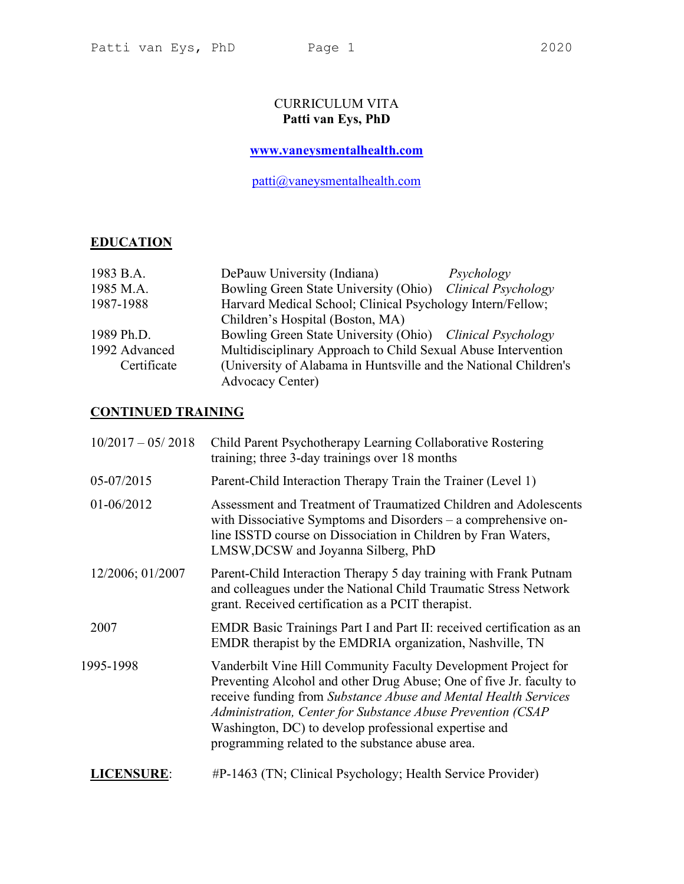# CURRICULUM VITA Patti van Eys, PhD

# www.vaneysmentalhealth.com

patti@vaneysmentalhealth.com

# **EDUCATION**

| 1983 B.A.     | DePauw University (Indiana)                                      | Psychology          |
|---------------|------------------------------------------------------------------|---------------------|
| 1985 M.A.     | Bowling Green State University (Ohio)                            | Clinical Psychology |
| 1987-1988     | Harvard Medical School; Clinical Psychology Intern/Fellow;       |                     |
|               | Children's Hospital (Boston, MA)                                 |                     |
| 1989 Ph.D.    | Bowling Green State University (Ohio) Clinical Psychology        |                     |
| 1992 Advanced | Multidisciplinary Approach to Child Sexual Abuse Intervention    |                     |
| Certificate   | (University of Alabama in Huntsville and the National Children's |                     |
|               | <b>Advocacy Center)</b>                                          |                     |

# CONTINUED TRAINING

| $10/2017 - 05/2018$ | Child Parent Psychotherapy Learning Collaborative Rostering<br>training; three 3-day trainings over 18 months                                                                                                                                                                                                                                                                        |
|---------------------|--------------------------------------------------------------------------------------------------------------------------------------------------------------------------------------------------------------------------------------------------------------------------------------------------------------------------------------------------------------------------------------|
| 05-07/2015          | Parent-Child Interaction Therapy Train the Trainer (Level 1)                                                                                                                                                                                                                                                                                                                         |
| 01-06/2012          | Assessment and Treatment of Traumatized Children and Adolescents<br>with Dissociative Symptoms and Disorders – a comprehensive on-<br>line ISSTD course on Dissociation in Children by Fran Waters,<br>LMSW, DCSW and Joyanna Silberg, PhD                                                                                                                                           |
| 12/2006; 01/2007    | Parent-Child Interaction Therapy 5 day training with Frank Putnam<br>and colleagues under the National Child Traumatic Stress Network<br>grant. Received certification as a PCIT therapist.                                                                                                                                                                                          |
| 2007                | EMDR Basic Trainings Part I and Part II: received certification as an<br>EMDR therapist by the EMDRIA organization, Nashville, TN                                                                                                                                                                                                                                                    |
| 1995-1998           | Vanderbilt Vine Hill Community Faculty Development Project for<br>Preventing Alcohol and other Drug Abuse; One of five Jr. faculty to<br>receive funding from Substance Abuse and Mental Health Services<br>Administration, Center for Substance Abuse Prevention (CSAP<br>Washington, DC) to develop professional expertise and<br>programming related to the substance abuse area. |
| <b>LICENSURE:</b>   | #P-1463 (TN; Clinical Psychology; Health Service Provider)                                                                                                                                                                                                                                                                                                                           |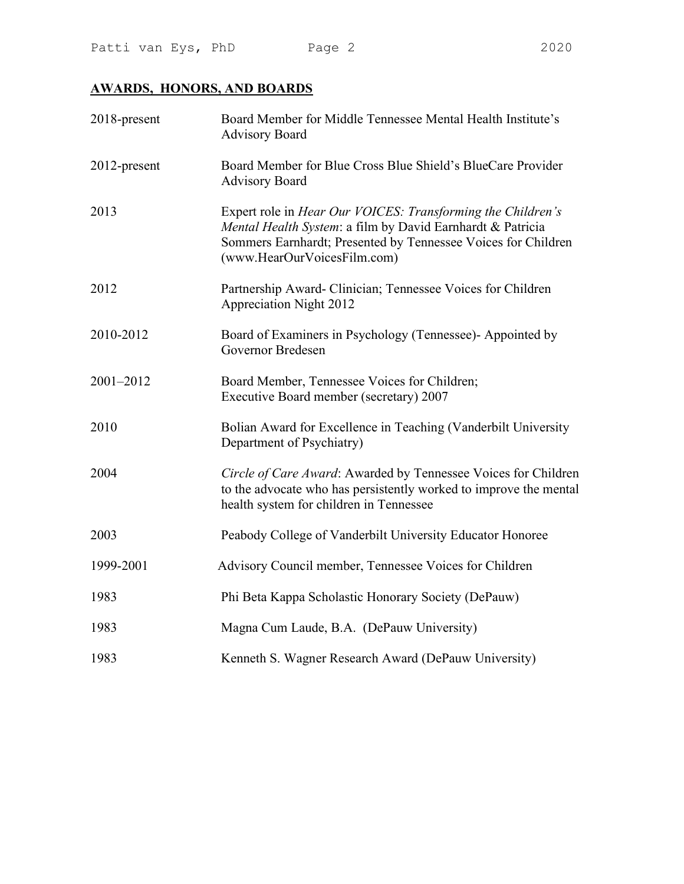# AWARDS, HONORS, AND BOARDS

| 2018-present | Board Member for Middle Tennessee Mental Health Institute's<br><b>Advisory Board</b>                                                                                                                                      |
|--------------|---------------------------------------------------------------------------------------------------------------------------------------------------------------------------------------------------------------------------|
| 2012-present | Board Member for Blue Cross Blue Shield's BlueCare Provider<br><b>Advisory Board</b>                                                                                                                                      |
| 2013         | Expert role in Hear Our VOICES: Transforming the Children's<br>Mental Health System: a film by David Earnhardt & Patricia<br>Sommers Earnhardt; Presented by Tennessee Voices for Children<br>(www.HearOurVoicesFilm.com) |
| 2012         | Partnership Award- Clinician; Tennessee Voices for Children<br><b>Appreciation Night 2012</b>                                                                                                                             |
| 2010-2012    | Board of Examiners in Psychology (Tennessee)- Appointed by<br>Governor Bredesen                                                                                                                                           |
| 2001-2012    | Board Member, Tennessee Voices for Children;<br>Executive Board member (secretary) 2007                                                                                                                                   |
| 2010         | Bolian Award for Excellence in Teaching (Vanderbilt University<br>Department of Psychiatry)                                                                                                                               |
| 2004         | Circle of Care Award: Awarded by Tennessee Voices for Children<br>to the advocate who has persistently worked to improve the mental<br>health system for children in Tennessee                                            |
| 2003         | Peabody College of Vanderbilt University Educator Honoree                                                                                                                                                                 |
| 1999-2001    | Advisory Council member, Tennessee Voices for Children                                                                                                                                                                    |
| 1983         | Phi Beta Kappa Scholastic Honorary Society (DePauw)                                                                                                                                                                       |
| 1983         | Magna Cum Laude, B.A. (DePauw University)                                                                                                                                                                                 |
| 1983         | Kenneth S. Wagner Research Award (DePauw University)                                                                                                                                                                      |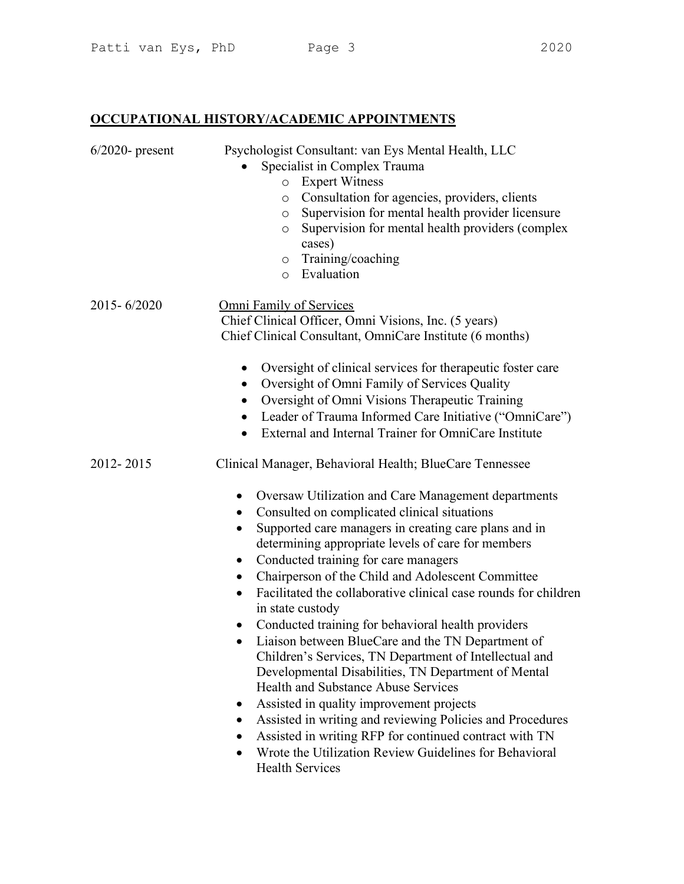OCCUPATIONAL HISTORY/ACADEMIC APPOINTMENTS

| $6/2020$ - present | Psychologist Consultant: van Eys Mental Health, LLC<br>Specialist in Complex Trauma<br><b>Expert Witness</b><br>$\circ$<br>Consultation for agencies, providers, clients<br>$\circ$<br>Supervision for mental health provider licensure<br>$\circ$<br>Supervision for mental health providers (complex<br>$\circ$<br>cases)<br>$\circ$ Training/coaching<br>o Evaluation                                                                                                                                                                                                                                                                                                                                                                                                                                                                                                                                                                                                                                                                        |
|--------------------|-------------------------------------------------------------------------------------------------------------------------------------------------------------------------------------------------------------------------------------------------------------------------------------------------------------------------------------------------------------------------------------------------------------------------------------------------------------------------------------------------------------------------------------------------------------------------------------------------------------------------------------------------------------------------------------------------------------------------------------------------------------------------------------------------------------------------------------------------------------------------------------------------------------------------------------------------------------------------------------------------------------------------------------------------|
| $2015 - 6/2020$    | Omni Family of Services<br>Chief Clinical Officer, Omni Visions, Inc. (5 years)<br>Chief Clinical Consultant, OmniCare Institute (6 months)<br>Oversight of clinical services for therapeutic foster care<br>$\bullet$<br>Oversight of Omni Family of Services Quality<br>$\bullet$<br>Oversight of Omni Visions Therapeutic Training<br>$\bullet$<br>Leader of Trauma Informed Care Initiative ("OmniCare")<br>External and Internal Trainer for OmniCare Institute<br>$\bullet$                                                                                                                                                                                                                                                                                                                                                                                                                                                                                                                                                               |
| 2012-2015          | Clinical Manager, Behavioral Health; BlueCare Tennessee<br>Oversaw Utilization and Care Management departments<br>Consulted on complicated clinical situations<br>Supported care managers in creating care plans and in<br>determining appropriate levels of care for members<br>Conducted training for care managers<br>$\bullet$<br>Chairperson of the Child and Adolescent Committee<br>$\bullet$<br>Facilitated the collaborative clinical case rounds for children<br>$\bullet$<br>in state custody<br>Conducted training for behavioral health providers<br>$\bullet$<br>Liaison between BlueCare and the TN Department of<br>Children's Services, TN Department of Intellectual and<br>Developmental Disabilities, TN Department of Mental<br>Health and Substance Abuse Services<br>Assisted in quality improvement projects<br>Assisted in writing and reviewing Policies and Procedures<br>Assisted in writing RFP for continued contract with TN<br>Wrote the Utilization Review Guidelines for Behavioral<br><b>Health Services</b> |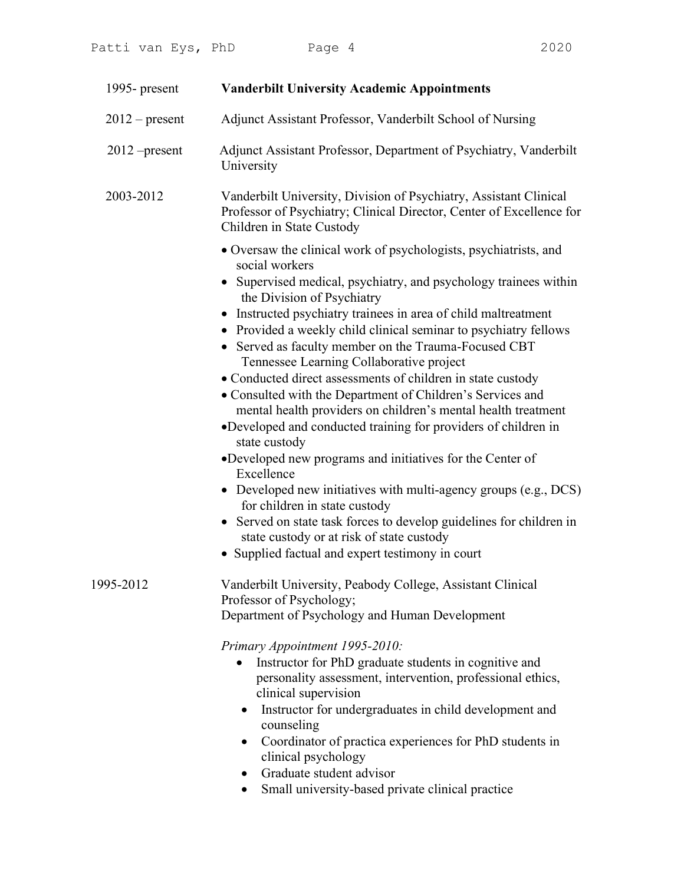| 1995- present    | <b>Vanderbilt University Academic Appointments</b>                                                                                                                                                                                                                                                                                                                                                                                                                                                                                                                                                                                                                                                                                                                                                                                                                                                                                                                                                                                                                         |
|------------------|----------------------------------------------------------------------------------------------------------------------------------------------------------------------------------------------------------------------------------------------------------------------------------------------------------------------------------------------------------------------------------------------------------------------------------------------------------------------------------------------------------------------------------------------------------------------------------------------------------------------------------------------------------------------------------------------------------------------------------------------------------------------------------------------------------------------------------------------------------------------------------------------------------------------------------------------------------------------------------------------------------------------------------------------------------------------------|
| $2012$ – present | Adjunct Assistant Professor, Vanderbilt School of Nursing                                                                                                                                                                                                                                                                                                                                                                                                                                                                                                                                                                                                                                                                                                                                                                                                                                                                                                                                                                                                                  |
| $2012$ -present  | Adjunct Assistant Professor, Department of Psychiatry, Vanderbilt<br>University                                                                                                                                                                                                                                                                                                                                                                                                                                                                                                                                                                                                                                                                                                                                                                                                                                                                                                                                                                                            |
| 2003-2012        | Vanderbilt University, Division of Psychiatry, Assistant Clinical<br>Professor of Psychiatry; Clinical Director, Center of Excellence for<br>Children in State Custody                                                                                                                                                                                                                                                                                                                                                                                                                                                                                                                                                                                                                                                                                                                                                                                                                                                                                                     |
|                  | • Oversaw the clinical work of psychologists, psychiatrists, and<br>social workers<br>• Supervised medical, psychiatry, and psychology trainees within<br>the Division of Psychiatry<br>• Instructed psychiatry trainees in area of child maltreatment<br>• Provided a weekly child clinical seminar to psychiatry fellows<br>• Served as faculty member on the Trauma-Focused CBT<br>Tennessee Learning Collaborative project<br>• Conducted direct assessments of children in state custody<br>• Consulted with the Department of Children's Services and<br>mental health providers on children's mental health treatment<br>•Developed and conducted training for providers of children in<br>state custody<br>•Developed new programs and initiatives for the Center of<br>Excellence<br>• Developed new initiatives with multi-agency groups (e.g., $DCS$ )<br>for children in state custody<br>• Served on state task forces to develop guidelines for children in<br>state custody or at risk of state custody<br>• Supplied factual and expert testimony in court |
| 1995-2012        | Vanderbilt University, Peabody College, Assistant Clinical<br>Professor of Psychology;<br>Department of Psychology and Human Development<br>Primary Appointment 1995-2010:<br>Instructor for PhD graduate students in cognitive and<br>$\bullet$<br>personality assessment, intervention, professional ethics,<br>clinical supervision<br>Instructor for undergraduates in child development and<br>$\bullet$<br>counseling<br>Coordinator of practica experiences for PhD students in<br>$\bullet$<br>clinical psychology<br>Graduate student advisor                                                                                                                                                                                                                                                                                                                                                                                                                                                                                                                     |

- Graduate student advisor
- Small university-based private clinical practice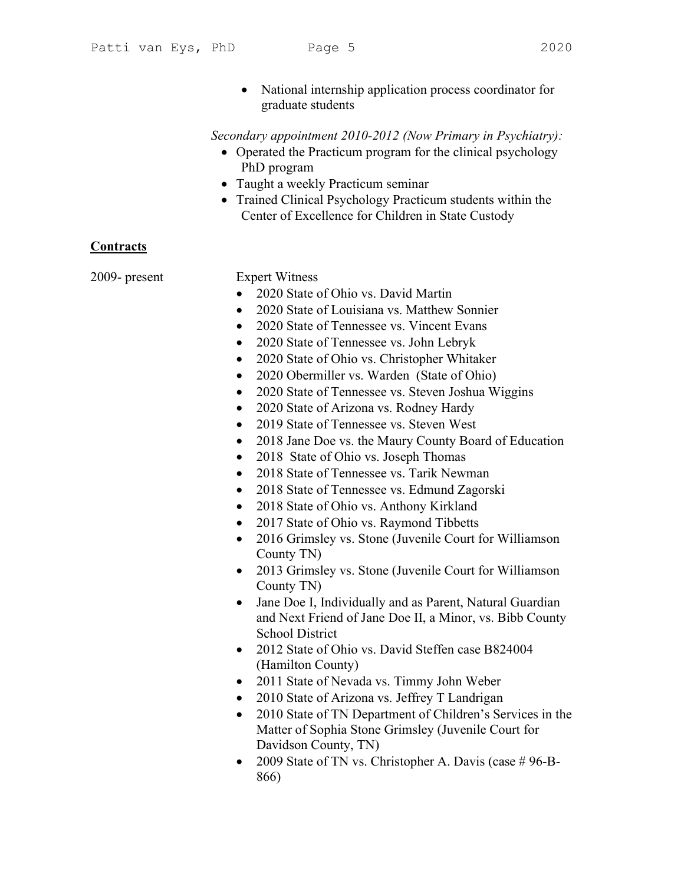- 
- National internship application process coordinator for graduate students

### Secondary appointment 2010-2012 (Now Primary in Psychiatry):

- Operated the Practicum program for the clinical psychology PhD program
- Taught a weekly Practicum seminar
- Trained Clinical Psychology Practicum students within the Center of Excellence for Children in State Custody

# **Contracts**

2009- present Expert Witness

- 2020 State of Ohio vs. David Martin
- 2020 State of Louisiana vs. Matthew Sonnier
- 2020 State of Tennessee vs. Vincent Evans
- 2020 State of Tennessee vs. John Lebryk
- 2020 State of Ohio vs. Christopher Whitaker
- 2020 Obermiller vs. Warden (State of Ohio)
- 2020 State of Tennessee vs. Steven Joshua Wiggins
- 2020 State of Arizona vs. Rodney Hardy
- 2019 State of Tennessee vs. Steven West
- 2018 Jane Doe vs. the Maury County Board of Education
- 2018 State of Ohio vs. Joseph Thomas
- 2018 State of Tennessee vs. Tarik Newman
- 2018 State of Tennessee vs. Edmund Zagorski
- 2018 State of Ohio vs. Anthony Kirkland
- 2017 State of Ohio vs. Raymond Tibbetts
- 2016 Grimsley vs. Stone (Juvenile Court for Williamson County TN)
- 2013 Grimsley vs. Stone (Juvenile Court for Williamson County TN)
- Jane Doe I, Individually and as Parent, Natural Guardian and Next Friend of Jane Doe II, a Minor, vs. Bibb County School District
- 2012 State of Ohio vs. David Steffen case B824004 (Hamilton County)
- 2011 State of Nevada vs. Timmy John Weber
- 2010 State of Arizona vs. Jeffrey T Landrigan
- 2010 State of TN Department of Children's Services in the Matter of Sophia Stone Grimsley (Juvenile Court for Davidson County, TN)
- 2009 State of TN vs. Christopher A. Davis (case  $\# 96 B -$ 866)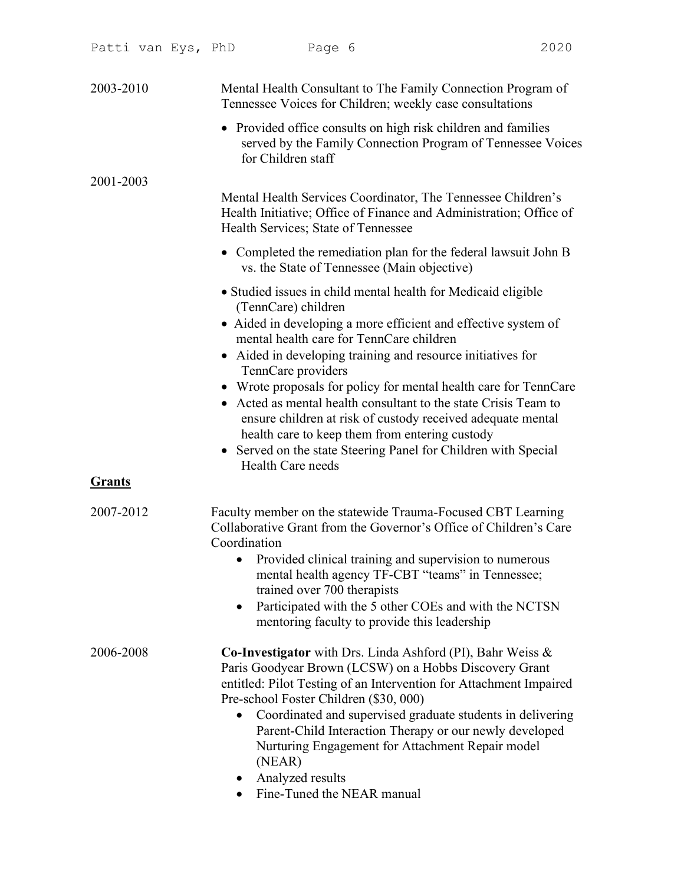| 2003-2010     | Mental Health Consultant to The Family Connection Program of<br>Tennessee Voices for Children; weekly case consultations                                                                                                                                                                                                                                                                                                                                                                                                                                                                                                                      |
|---------------|-----------------------------------------------------------------------------------------------------------------------------------------------------------------------------------------------------------------------------------------------------------------------------------------------------------------------------------------------------------------------------------------------------------------------------------------------------------------------------------------------------------------------------------------------------------------------------------------------------------------------------------------------|
|               | • Provided office consults on high risk children and families<br>served by the Family Connection Program of Tennessee Voices<br>for Children staff                                                                                                                                                                                                                                                                                                                                                                                                                                                                                            |
| 2001-2003     | Mental Health Services Coordinator, The Tennessee Children's<br>Health Initiative; Office of Finance and Administration; Office of<br>Health Services; State of Tennessee                                                                                                                                                                                                                                                                                                                                                                                                                                                                     |
|               | • Completed the remediation plan for the federal lawsuit John B<br>vs. the State of Tennessee (Main objective)                                                                                                                                                                                                                                                                                                                                                                                                                                                                                                                                |
|               | • Studied issues in child mental health for Medicaid eligible<br>(TennCare) children<br>• Aided in developing a more efficient and effective system of<br>mental health care for TennCare children<br>• Aided in developing training and resource initiatives for<br>TennCare providers<br>• Wrote proposals for policy for mental health care for TennCare<br>• Acted as mental health consultant to the state Crisis Team to<br>ensure children at risk of custody received adequate mental<br>health care to keep them from entering custody<br>• Served on the state Steering Panel for Children with Special<br><b>Health Care needs</b> |
| <b>Grants</b> |                                                                                                                                                                                                                                                                                                                                                                                                                                                                                                                                                                                                                                               |
| 2007-2012     | Faculty member on the statewide Trauma-Focused CBT Learning<br>Collaborative Grant from the Governor's Office of Children's Care<br>Coordination<br>Provided clinical training and supervision to numerous<br>mental health agency TF-CBT "teams" in Tennessee;<br>trained over 700 therapists<br>Participated with the 5 other COEs and with the NCTSN<br>$\bullet$<br>mentoring faculty to provide this leadership                                                                                                                                                                                                                          |
| 2006-2008     | Co-Investigator with Drs. Linda Ashford (PI), Bahr Weiss &<br>Paris Goodyear Brown (LCSW) on a Hobbs Discovery Grant<br>entitled: Pilot Testing of an Intervention for Attachment Impaired<br>Pre-school Foster Children (\$30, 000)<br>Coordinated and supervised graduate students in delivering<br>Parent-Child Interaction Therapy or our newly developed<br>Nurturing Engagement for Attachment Repair model<br>(NEAR)<br>Analyzed results<br>Fine-Tuned the NEAR manual                                                                                                                                                                 |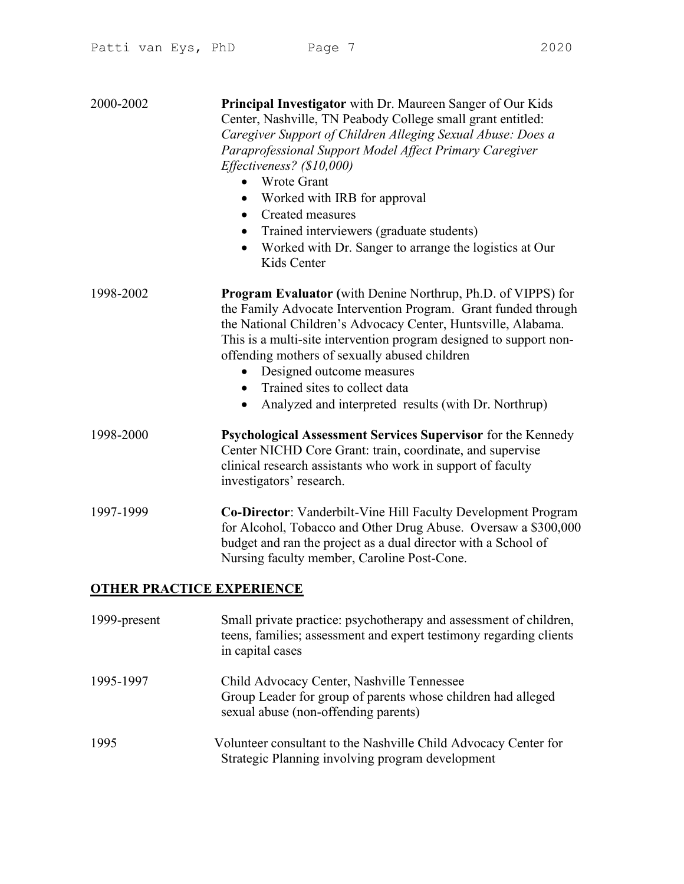| 2000-2002                        | <b>Principal Investigator</b> with Dr. Maureen Sanger of Our Kids<br>Center, Nashville, TN Peabody College small grant entitled:<br>Caregiver Support of Children Alleging Sexual Abuse: Does a<br>Paraprofessional Support Model Affect Primary Caregiver<br>Effectiveness? (\$10,000)<br><b>Wrote Grant</b><br>Worked with IRB for approval<br>$\bullet$<br>Created measures<br>$\bullet$<br>Trained interviewers (graduate students)<br>$\bullet$<br>Worked with Dr. Sanger to arrange the logistics at Our<br>$\bullet$<br>Kids Center |
|----------------------------------|--------------------------------------------------------------------------------------------------------------------------------------------------------------------------------------------------------------------------------------------------------------------------------------------------------------------------------------------------------------------------------------------------------------------------------------------------------------------------------------------------------------------------------------------|
| 1998-2002                        | <b>Program Evaluator</b> (with Denine Northrup, Ph.D. of VIPPS) for<br>the Family Advocate Intervention Program. Grant funded through<br>the National Children's Advocacy Center, Huntsville, Alabama.<br>This is a multi-site intervention program designed to support non-<br>offending mothers of sexually abused children<br>Designed outcome measures<br>Trained sites to collect data<br>Analyzed and interpreted results (with Dr. Northrup)<br>$\bullet$                                                                           |
| 1998-2000                        | Psychological Assessment Services Supervisor for the Kennedy<br>Center NICHD Core Grant: train, coordinate, and supervise<br>clinical research assistants who work in support of faculty<br>investigators' research.                                                                                                                                                                                                                                                                                                                       |
| 1997-1999                        | <b>Co-Director:</b> Vanderbilt-Vine Hill Faculty Development Program<br>for Alcohol, Tobacco and Other Drug Abuse. Oversaw a \$300,000<br>budget and ran the project as a dual director with a School of<br>Nursing faculty member, Caroline Post-Cone.                                                                                                                                                                                                                                                                                    |
| <b>OTHER PRACTICE EXPERIENCE</b> |                                                                                                                                                                                                                                                                                                                                                                                                                                                                                                                                            |
| 1999-present                     | Small private practice: psychotherapy and assessment of children,<br>teens, families; assessment and expert testimony regarding clients<br>in capital cases                                                                                                                                                                                                                                                                                                                                                                                |
| 1995-1997                        | Child Advocacy Center, Nashville Tennessee<br>Group Leader for group of parents whose children had alleged                                                                                                                                                                                                                                                                                                                                                                                                                                 |

1995 Volunteer consultant to the Nashville Child Advocacy Center for Strategic Planning involving program development

sexual abuse (non-offending parents)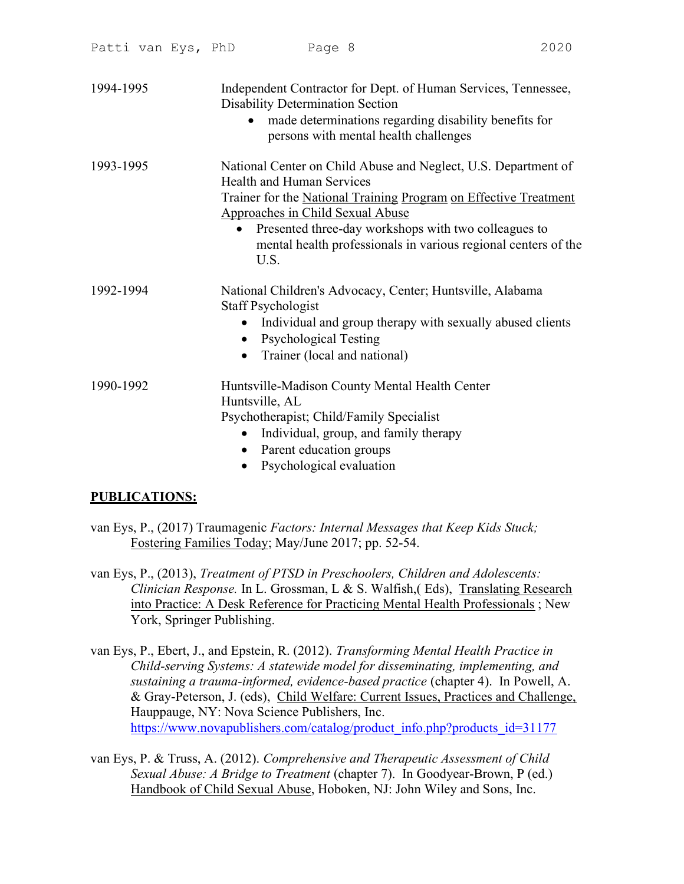| 1994-1995 | Independent Contractor for Dept. of Human Services, Tennessee,<br><b>Disability Determination Section</b><br>made determinations regarding disability benefits for<br>$\bullet$<br>persons with mental health challenges                                                                                                                                  |
|-----------|-----------------------------------------------------------------------------------------------------------------------------------------------------------------------------------------------------------------------------------------------------------------------------------------------------------------------------------------------------------|
| 1993-1995 | National Center on Child Abuse and Neglect, U.S. Department of<br><b>Health and Human Services</b><br>Trainer for the National Training Program on Effective Treatment<br>Approaches in Child Sexual Abuse<br>Presented three-day workshops with two colleagues to<br>$\bullet$<br>mental health professionals in various regional centers of the<br>U.S. |
| 1992-1994 | National Children's Advocacy, Center; Huntsville, Alabama<br>Staff Psychologist<br>Individual and group therapy with sexually abused clients<br><b>Psychological Testing</b><br>Trainer (local and national)                                                                                                                                              |
| 1990-1992 | Huntsville-Madison County Mental Health Center<br>Huntsville, AL<br>Psychotherapist; Child/Family Specialist<br>Individual, group, and family therapy<br>$\bullet$<br>Parent education groups<br>$\bullet$<br>Psychological evaluation                                                                                                                    |

# PUBLICATIONS:

- van Eys, P., (2017) Traumagenic Factors: Internal Messages that Keep Kids Stuck; Fostering Families Today; May/June 2017; pp. 52-54.
- van Eys, P., (2013), Treatment of PTSD in Preschoolers, Children and Adolescents: Clinician Response. In L. Grossman, L & S. Walfish,( Eds), Translating Research into Practice: A Desk Reference for Practicing Mental Health Professionals ; New York, Springer Publishing.
- van Eys, P., Ebert, J., and Epstein, R. (2012). Transforming Mental Health Practice in Child-serving Systems: A statewide model for disseminating, implementing, and sustaining a trauma-informed, evidence-based practice (chapter 4). In Powell, A. & Gray-Peterson, J. (eds), Child Welfare: Current Issues, Practices and Challenge, Hauppauge, NY: Nova Science Publishers, Inc. https://www.novapublishers.com/catalog/product\_info.php?products\_id=31177
- van Eys, P. & Truss, A. (2012). Comprehensive and Therapeutic Assessment of Child Sexual Abuse: A Bridge to Treatment (chapter 7). In Goodyear-Brown, P (ed.) Handbook of Child Sexual Abuse, Hoboken, NJ: John Wiley and Sons, Inc.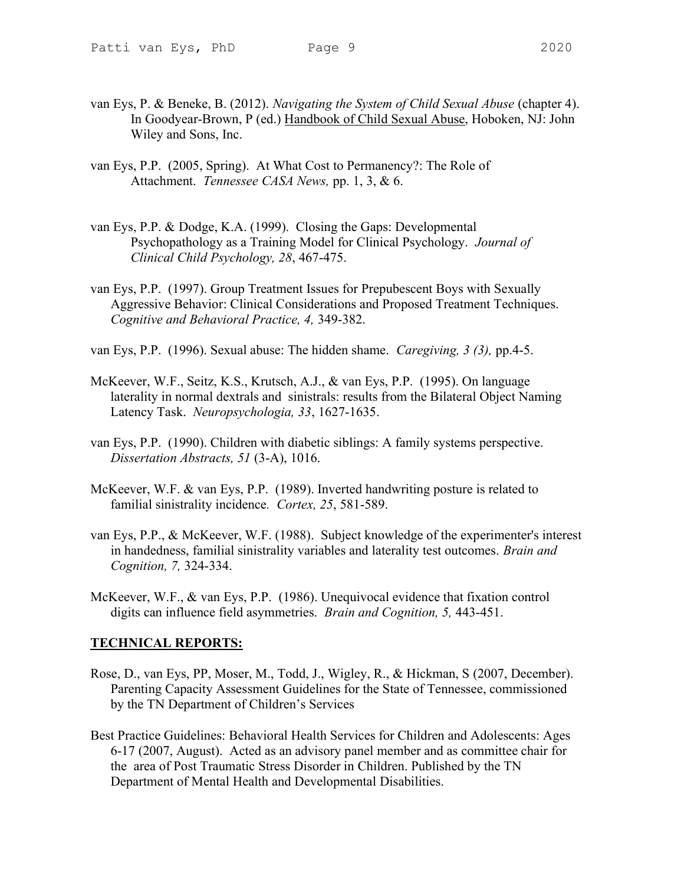- 
- van Eys, P. & Beneke, B. (2012). Navigating the System of Child Sexual Abuse (chapter 4). In Goodyear-Brown, P (ed.) Handbook of Child Sexual Abuse, Hoboken, NJ: John Wiley and Sons, Inc.
- van Eys, P.P. (2005, Spring). At What Cost to Permanency?: The Role of Attachment. Tennessee CASA News, pp. 1, 3, & 6.
- van Eys, P.P. & Dodge, K.A. (1999). Closing the Gaps: Developmental Psychopathology as a Training Model for Clinical Psychology. Journal of Clinical Child Psychology, 28, 467-475.
- van Eys, P.P. (1997). Group Treatment Issues for Prepubescent Boys with Sexually Aggressive Behavior: Clinical Considerations and Proposed Treatment Techniques. Cognitive and Behavioral Practice, 4, 349-382.
- van Eys, P.P. (1996). Sexual abuse: The hidden shame. Caregiving, 3 (3), pp.4-5.
- McKeever, W.F., Seitz, K.S., Krutsch, A.J., & van Eys, P.P. (1995). On language laterality in normal dextrals and sinistrals: results from the Bilateral Object Naming Latency Task. Neuropsychologia, 33, 1627-1635.
- van Eys, P.P. (1990). Children with diabetic siblings: A family systems perspective. Dissertation Abstracts, 51 (3-A), 1016.
- McKeever, W.F. & van Eys, P.P. (1989). Inverted handwriting posture is related to familial sinistrality incidence. Cortex, 25, 581-589.
- van Eys, P.P., & McKeever, W.F. (1988). Subject knowledge of the experimenter's interest in handedness, familial sinistrality variables and laterality test outcomes. Brain and Cognition, 7, 324-334.
- McKeever, W.F., & van Eys, P.P. (1986). Unequivocal evidence that fixation control digits can influence field asymmetries. Brain and Cognition, 5, 443-451.

#### TECHNICAL REPORTS:

- Rose, D., van Eys, PP, Moser, M., Todd, J., Wigley, R., & Hickman, S (2007, December). Parenting Capacity Assessment Guidelines for the State of Tennessee, commissioned by the TN Department of Children's Services
- Best Practice Guidelines: Behavioral Health Services for Children and Adolescents: Ages 6-17 (2007, August). Acted as an advisory panel member and as committee chair for the area of Post Traumatic Stress Disorder in Children. Published by the TN Department of Mental Health and Developmental Disabilities.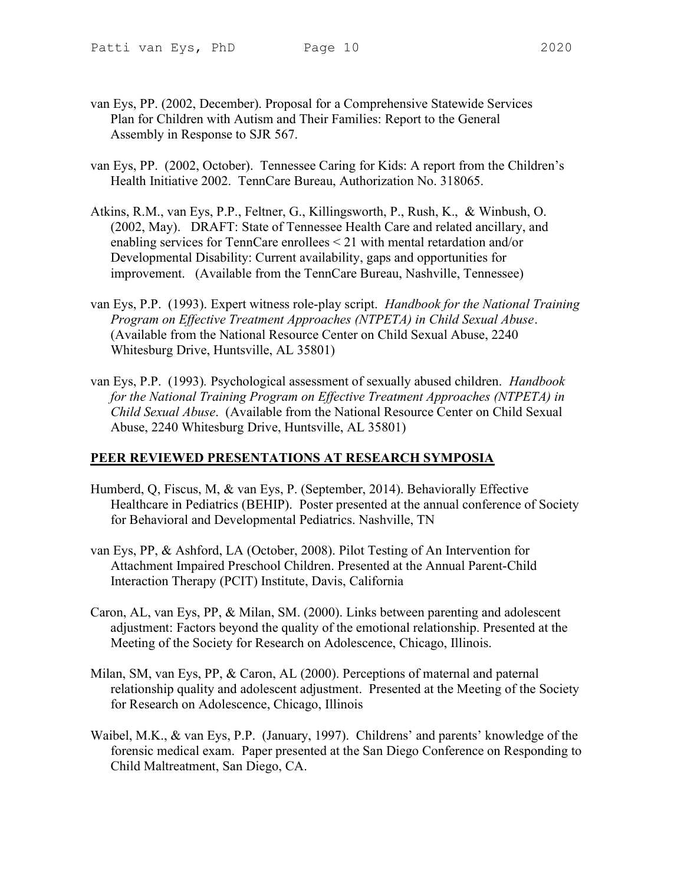- 
- van Eys, PP. (2002, December). Proposal for a Comprehensive Statewide Services Plan for Children with Autism and Their Families: Report to the General Assembly in Response to SJR 567.
- van Eys, PP. (2002, October). Tennessee Caring for Kids: A report from the Children's Health Initiative 2002. TennCare Bureau, Authorization No. 318065.
- Atkins, R.M., van Eys, P.P., Feltner, G., Killingsworth, P., Rush, K., & Winbush, O. (2002, May). DRAFT: State of Tennessee Health Care and related ancillary, and enabling services for TennCare enrollees < 21 with mental retardation and/or Developmental Disability: Current availability, gaps and opportunities for improvement. (Available from the TennCare Bureau, Nashville, Tennessee)
- van Eys, P.P. (1993). Expert witness role-play script. Handbook for the National Training Program on Effective Treatment Approaches (NTPETA) in Child Sexual Abuse. (Available from the National Resource Center on Child Sexual Abuse, 2240 Whitesburg Drive, Huntsville, AL 35801)
- van Eys, P.P. (1993). Psychological assessment of sexually abused children. Handbook for the National Training Program on Effective Treatment Approaches (NTPETA) in Child Sexual Abuse. (Available from the National Resource Center on Child Sexual Abuse, 2240 Whitesburg Drive, Huntsville, AL 35801)

# PEER REVIEWED PRESENTATIONS AT RESEARCH SYMPOSIA

- Humberd, Q, Fiscus, M, & van Eys, P. (September, 2014). Behaviorally Effective Healthcare in Pediatrics (BEHIP). Poster presented at the annual conference of Society for Behavioral and Developmental Pediatrics. Nashville, TN
- van Eys, PP, & Ashford, LA (October, 2008). Pilot Testing of An Intervention for Attachment Impaired Preschool Children. Presented at the Annual Parent-Child Interaction Therapy (PCIT) Institute, Davis, California
- Caron, AL, van Eys, PP, & Milan, SM. (2000). Links between parenting and adolescent adjustment: Factors beyond the quality of the emotional relationship. Presented at the Meeting of the Society for Research on Adolescence, Chicago, Illinois.
- Milan, SM, van Eys, PP, & Caron, AL (2000). Perceptions of maternal and paternal relationship quality and adolescent adjustment. Presented at the Meeting of the Society for Research on Adolescence, Chicago, Illinois
- Waibel, M.K., & van Eys, P.P. (January, 1997). Childrens' and parents' knowledge of the forensic medical exam. Paper presented at the San Diego Conference on Responding to Child Maltreatment, San Diego, CA.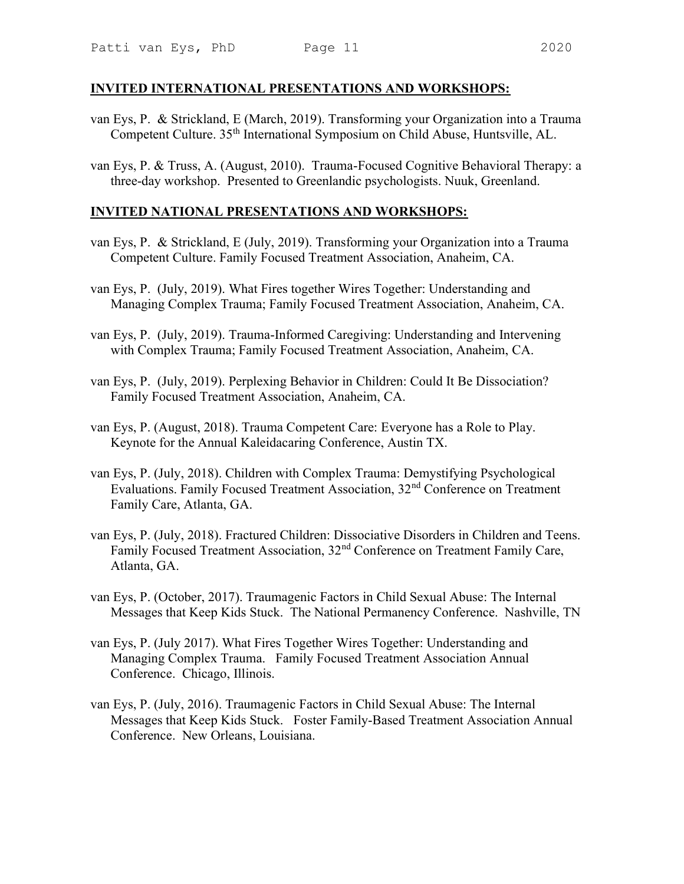#### INVITED INTERNATIONAL PRESENTATIONS AND WORKSHOPS:

- van Eys, P. & Strickland, E (March, 2019). Transforming your Organization into a Trauma Competent Culture. 35th International Symposium on Child Abuse, Huntsville, AL.
- van Eys, P. & Truss, A. (August, 2010). Trauma-Focused Cognitive Behavioral Therapy: a three-day workshop. Presented to Greenlandic psychologists. Nuuk, Greenland.

#### INVITED NATIONAL PRESENTATIONS AND WORKSHOPS:

- van Eys, P. & Strickland, E (July, 2019). Transforming your Organization into a Trauma Competent Culture. Family Focused Treatment Association, Anaheim, CA.
- van Eys, P. (July, 2019). What Fires together Wires Together: Understanding and Managing Complex Trauma; Family Focused Treatment Association, Anaheim, CA.
- van Eys, P. (July, 2019). Trauma-Informed Caregiving: Understanding and Intervening with Complex Trauma; Family Focused Treatment Association, Anaheim, CA.
- van Eys, P. (July, 2019). Perplexing Behavior in Children: Could It Be Dissociation? Family Focused Treatment Association, Anaheim, CA.
- van Eys, P. (August, 2018). Trauma Competent Care: Everyone has a Role to Play. Keynote for the Annual Kaleidacaring Conference, Austin TX.
- van Eys, P. (July, 2018). Children with Complex Trauma: Demystifying Psychological Evaluations. Family Focused Treatment Association, 32nd Conference on Treatment Family Care, Atlanta, GA.
- van Eys, P. (July, 2018). Fractured Children: Dissociative Disorders in Children and Teens. Family Focused Treatment Association, 32nd Conference on Treatment Family Care, Atlanta, GA.
- van Eys, P. (October, 2017). Traumagenic Factors in Child Sexual Abuse: The Internal Messages that Keep Kids Stuck. The National Permanency Conference. Nashville, TN
- van Eys, P. (July 2017). What Fires Together Wires Together: Understanding and Managing Complex Trauma. Family Focused Treatment Association Annual Conference. Chicago, Illinois.
- van Eys, P. (July, 2016). Traumagenic Factors in Child Sexual Abuse: The Internal Messages that Keep Kids Stuck. Foster Family-Based Treatment Association Annual Conference. New Orleans, Louisiana.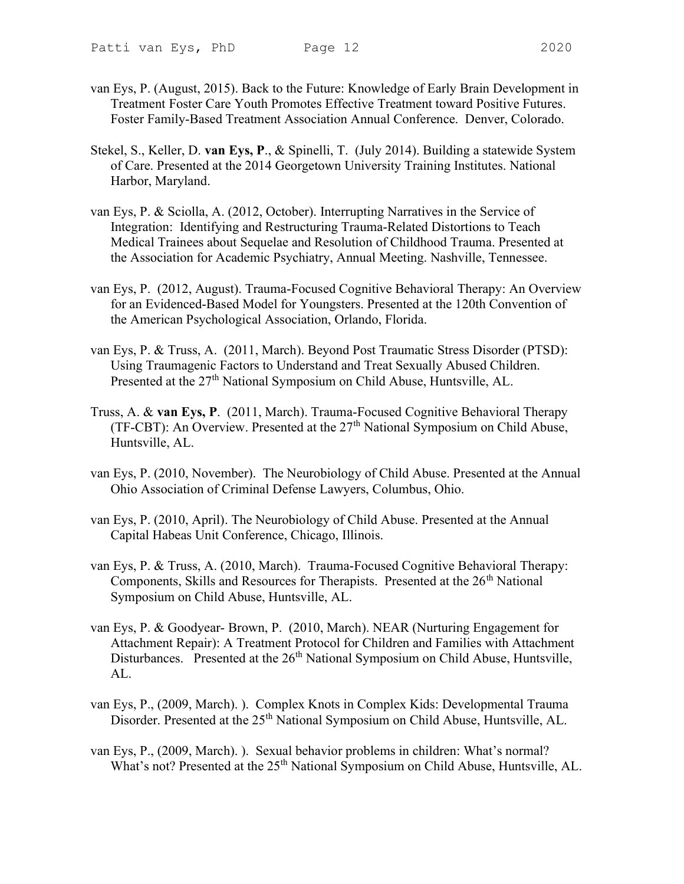- van Eys, P. (August, 2015). Back to the Future: Knowledge of Early Brain Development in Treatment Foster Care Youth Promotes Effective Treatment toward Positive Futures. Foster Family-Based Treatment Association Annual Conference. Denver, Colorado.
- Stekel, S., Keller, D. van Eys, P., & Spinelli, T. (July 2014). Building a statewide System of Care. Presented at the 2014 Georgetown University Training Institutes. National Harbor, Maryland.
- van Eys, P. & Sciolla, A. (2012, October). Interrupting Narratives in the Service of Integration: Identifying and Restructuring Trauma-Related Distortions to Teach Medical Trainees about Sequelae and Resolution of Childhood Trauma. Presented at the Association for Academic Psychiatry, Annual Meeting. Nashville, Tennessee.
- van Eys, P. (2012, August). Trauma-Focused Cognitive Behavioral Therapy: An Overview for an Evidenced-Based Model for Youngsters. Presented at the 120th Convention of the American Psychological Association, Orlando, Florida.
- van Eys, P. & Truss, A. (2011, March). Beyond Post Traumatic Stress Disorder (PTSD): Using Traumagenic Factors to Understand and Treat Sexually Abused Children. Presented at the 27<sup>th</sup> National Symposium on Child Abuse, Huntsville, AL.
- Truss, A. & van Eys, P. (2011, March). Trauma-Focused Cognitive Behavioral Therapy (TF-CBT): An Overview. Presented at the  $27<sup>th</sup>$  National Symposium on Child Abuse, Huntsville, AL.
- van Eys, P. (2010, November). The Neurobiology of Child Abuse. Presented at the Annual Ohio Association of Criminal Defense Lawyers, Columbus, Ohio.
- van Eys, P. (2010, April). The Neurobiology of Child Abuse. Presented at the Annual Capital Habeas Unit Conference, Chicago, Illinois.
- van Eys, P. & Truss, A. (2010, March). Trauma-Focused Cognitive Behavioral Therapy: Components, Skills and Resources for Therapists. Presented at the  $26<sup>th</sup>$  National Symposium on Child Abuse, Huntsville, AL.
- van Eys, P. & Goodyear- Brown, P. (2010, March). NEAR (Nurturing Engagement for Attachment Repair): A Treatment Protocol for Children and Families with Attachment Disturbances. Presented at the 26<sup>th</sup> National Symposium on Child Abuse, Huntsville, AL.
- van Eys, P., (2009, March). ). Complex Knots in Complex Kids: Developmental Trauma Disorder. Presented at the 25<sup>th</sup> National Symposium on Child Abuse, Huntsville, AL.
- van Eys, P., (2009, March). ). Sexual behavior problems in children: What's normal? What's not? Presented at the 25<sup>th</sup> National Symposium on Child Abuse, Huntsville, AL.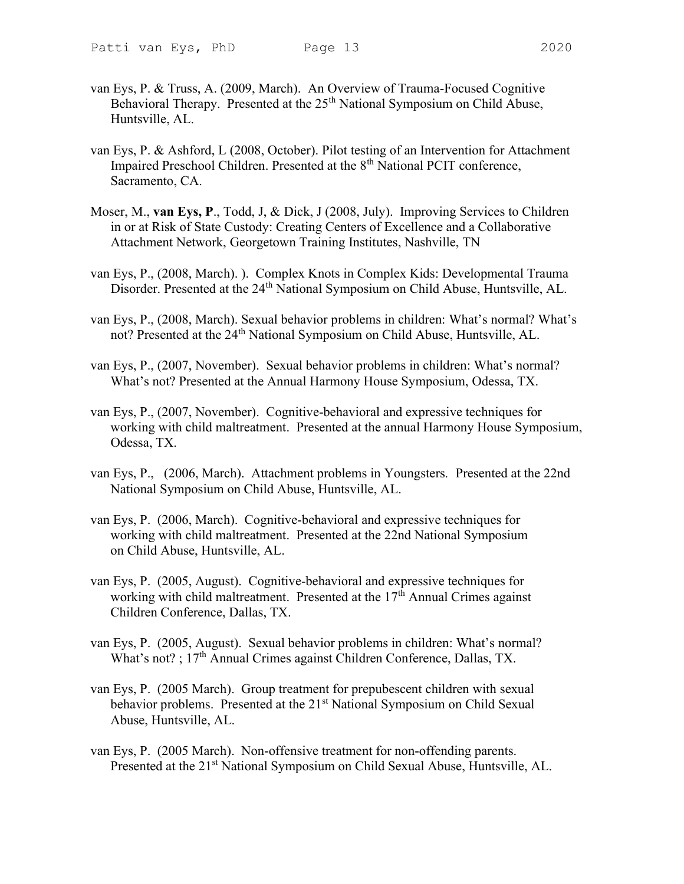- van Eys, P. & Truss, A. (2009, March). An Overview of Trauma-Focused Cognitive Behavioral Therapy. Presented at the 25<sup>th</sup> National Symposium on Child Abuse, Huntsville, AL.
- van Eys, P. & Ashford, L (2008, October). Pilot testing of an Intervention for Attachment Impaired Preschool Children. Presented at the 8<sup>th</sup> National PCIT conference, Sacramento, CA.
- Moser, M., van Eys, P., Todd, J, & Dick, J (2008, July). Improving Services to Children in or at Risk of State Custody: Creating Centers of Excellence and a Collaborative Attachment Network, Georgetown Training Institutes, Nashville, TN
- van Eys, P., (2008, March). ). Complex Knots in Complex Kids: Developmental Trauma Disorder. Presented at the 24<sup>th</sup> National Symposium on Child Abuse, Huntsville, AL.
- van Eys, P., (2008, March). Sexual behavior problems in children: What's normal? What's not? Presented at the 24<sup>th</sup> National Symposium on Child Abuse, Huntsville, AL.
- van Eys, P., (2007, November). Sexual behavior problems in children: What's normal? What's not? Presented at the Annual Harmony House Symposium, Odessa, TX.
- van Eys, P., (2007, November). Cognitive-behavioral and expressive techniques for working with child maltreatment. Presented at the annual Harmony House Symposium, Odessa, TX.
- van Eys, P., (2006, March). Attachment problems in Youngsters. Presented at the 22nd National Symposium on Child Abuse, Huntsville, AL.
- van Eys, P. (2006, March). Cognitive-behavioral and expressive techniques for working with child maltreatment. Presented at the 22nd National Symposium on Child Abuse, Huntsville, AL.
- van Eys, P. (2005, August). Cognitive-behavioral and expressive techniques for working with child maltreatment. Presented at the  $17<sup>th</sup>$  Annual Crimes against Children Conference, Dallas, TX.
- van Eys, P. (2005, August). Sexual behavior problems in children: What's normal? What's not? ;  $17<sup>th</sup>$  Annual Crimes against Children Conference, Dallas, TX.
- van Eys, P. (2005 March). Group treatment for prepubescent children with sexual behavior problems. Presented at the 21<sup>st</sup> National Symposium on Child Sexual Abuse, Huntsville, AL.
- van Eys, P. (2005 March). Non-offensive treatment for non-offending parents. Presented at the 21<sup>st</sup> National Symposium on Child Sexual Abuse, Huntsville, AL.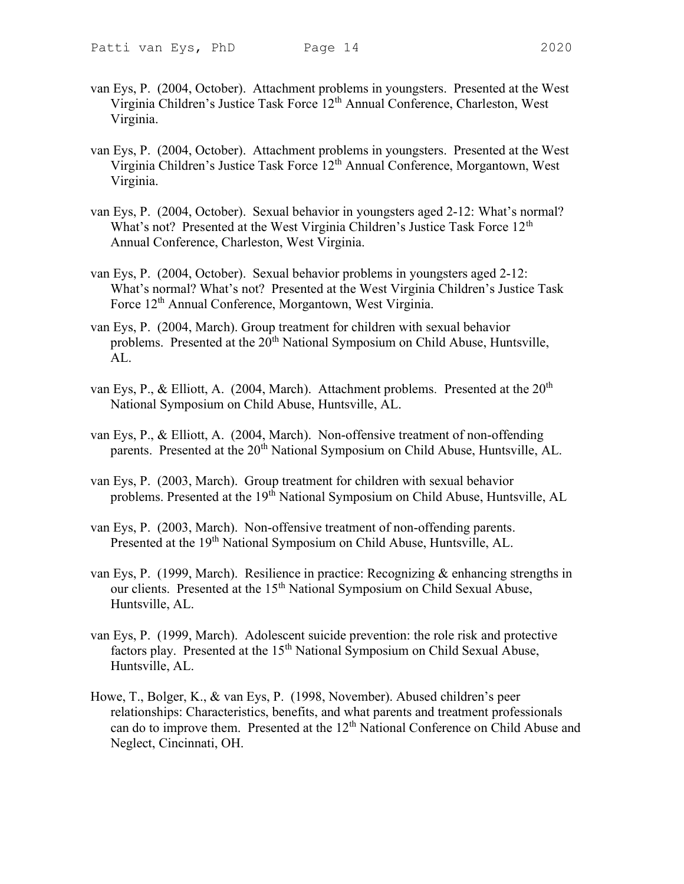- 
- van Eys, P. (2004, October). Attachment problems in youngsters. Presented at the West Virginia Children's Justice Task Force 12<sup>th</sup> Annual Conference, Charleston, West Virginia.
- van Eys, P. (2004, October). Attachment problems in youngsters. Presented at the West Virginia Children's Justice Task Force 12<sup>th</sup> Annual Conference, Morgantown, West Virginia.
- van Eys, P. (2004, October). Sexual behavior in youngsters aged 2-12: What's normal? What's not? Presented at the West Virginia Children's Justice Task Force 12<sup>th</sup> Annual Conference, Charleston, West Virginia.
- van Eys, P. (2004, October). Sexual behavior problems in youngsters aged 2-12: What's normal? What's not? Presented at the West Virginia Children's Justice Task Force 12<sup>th</sup> Annual Conference, Morgantown, West Virginia.
- van Eys, P. (2004, March). Group treatment for children with sexual behavior problems. Presented at the 20<sup>th</sup> National Symposium on Child Abuse, Huntsville, AL.
- van Eys, P., & Elliott, A. (2004, March). Attachment problems. Presented at the  $20<sup>th</sup>$ National Symposium on Child Abuse, Huntsville, AL.
- van Eys, P., & Elliott, A. (2004, March). Non-offensive treatment of non-offending parents. Presented at the 20<sup>th</sup> National Symposium on Child Abuse, Huntsville, AL.
- van Eys, P. (2003, March). Group treatment for children with sexual behavior problems. Presented at the 19<sup>th</sup> National Symposium on Child Abuse, Huntsville, AL
- van Eys, P. (2003, March). Non-offensive treatment of non-offending parents. Presented at the 19<sup>th</sup> National Symposium on Child Abuse, Huntsville, AL.
- van Eys, P. (1999, March). Resilience in practice: Recognizing & enhancing strengths in our clients. Presented at the 15<sup>th</sup> National Symposium on Child Sexual Abuse, Huntsville, AL.
- van Eys, P. (1999, March). Adolescent suicide prevention: the role risk and protective factors play. Presented at the 15<sup>th</sup> National Symposium on Child Sexual Abuse, Huntsville, AL.
- Howe, T., Bolger, K., & van Eys, P. (1998, November). Abused children's peer relationships: Characteristics, benefits, and what parents and treatment professionals can do to improve them. Presented at the 12<sup>th</sup> National Conference on Child Abuse and Neglect, Cincinnati, OH.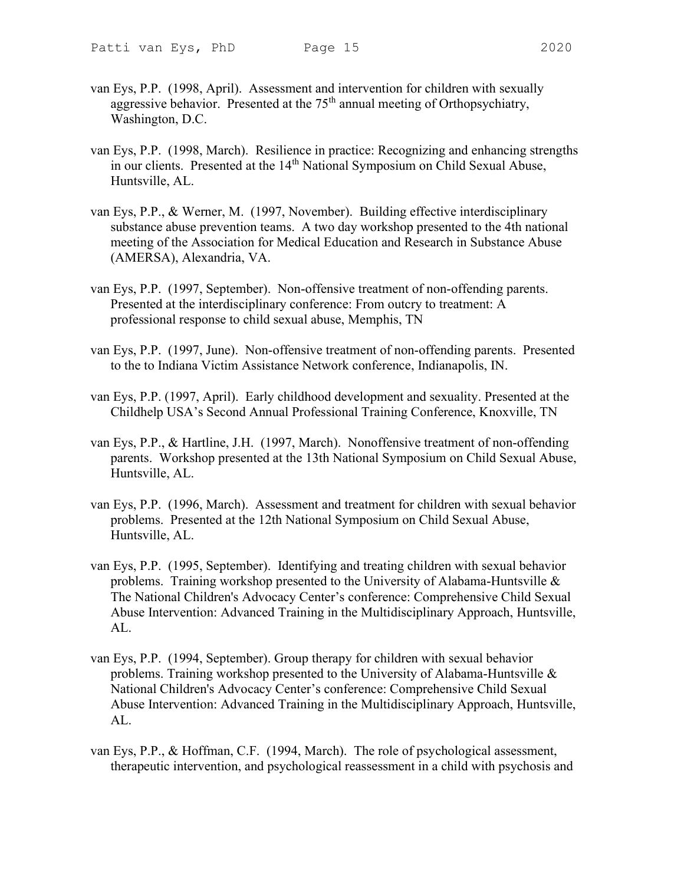- van Eys, P.P. (1998, April). Assessment and intervention for children with sexually aggressive behavior. Presented at the  $75<sup>th</sup>$  annual meeting of Orthopsychiatry, Washington, D.C.
- van Eys, P.P. (1998, March). Resilience in practice: Recognizing and enhancing strengths in our clients. Presented at the 14<sup>th</sup> National Symposium on Child Sexual Abuse, Huntsville, AL.
- van Eys, P.P., & Werner, M. (1997, November). Building effective interdisciplinary substance abuse prevention teams. A two day workshop presented to the 4th national meeting of the Association for Medical Education and Research in Substance Abuse (AMERSA), Alexandria, VA.
- van Eys, P.P. (1997, September). Non-offensive treatment of non-offending parents. Presented at the interdisciplinary conference: From outcry to treatment: A professional response to child sexual abuse, Memphis, TN
- van Eys, P.P. (1997, June). Non-offensive treatment of non-offending parents. Presented to the to Indiana Victim Assistance Network conference, Indianapolis, IN.
- van Eys, P.P. (1997, April). Early childhood development and sexuality. Presented at the Childhelp USA's Second Annual Professional Training Conference, Knoxville, TN
- van Eys, P.P., & Hartline, J.H. (1997, March). Nonoffensive treatment of non-offending parents. Workshop presented at the 13th National Symposium on Child Sexual Abuse, Huntsville, AL.
- van Eys, P.P. (1996, March). Assessment and treatment for children with sexual behavior problems. Presented at the 12th National Symposium on Child Sexual Abuse, Huntsville, AL.
- van Eys, P.P. (1995, September). Identifying and treating children with sexual behavior problems. Training workshop presented to the University of Alabama-Huntsville  $\&$ The National Children's Advocacy Center's conference: Comprehensive Child Sexual Abuse Intervention: Advanced Training in the Multidisciplinary Approach, Huntsville, AL.
- van Eys, P.P. (1994, September). Group therapy for children with sexual behavior problems. Training workshop presented to the University of Alabama-Huntsville & National Children's Advocacy Center's conference: Comprehensive Child Sexual Abuse Intervention: Advanced Training in the Multidisciplinary Approach, Huntsville, AL.
- van Eys, P.P., & Hoffman, C.F. (1994, March). The role of psychological assessment, therapeutic intervention, and psychological reassessment in a child with psychosis and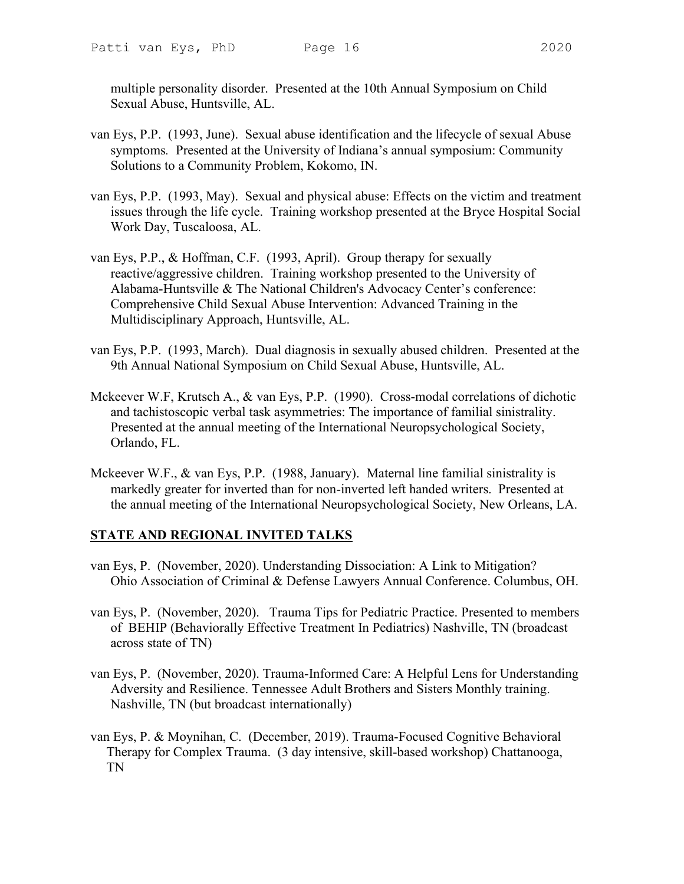multiple personality disorder. Presented at the 10th Annual Symposium on Child Sexual Abuse, Huntsville, AL.

- van Eys, P.P. (1993, June). Sexual abuse identification and the lifecycle of sexual Abuse symptoms. Presented at the University of Indiana's annual symposium: Community Solutions to a Community Problem, Kokomo, IN.
- van Eys, P.P. (1993, May). Sexual and physical abuse: Effects on the victim and treatment issues through the life cycle. Training workshop presented at the Bryce Hospital Social Work Day, Tuscaloosa, AL.
- van Eys, P.P., & Hoffman, C.F. (1993, April). Group therapy for sexually reactive/aggressive children. Training workshop presented to the University of Alabama-Huntsville & The National Children's Advocacy Center's conference: Comprehensive Child Sexual Abuse Intervention: Advanced Training in the Multidisciplinary Approach, Huntsville, AL.
- van Eys, P.P. (1993, March). Dual diagnosis in sexually abused children. Presented at the 9th Annual National Symposium on Child Sexual Abuse, Huntsville, AL.
- Mckeever W.F, Krutsch A., & van Eys, P.P. (1990). Cross-modal correlations of dichotic and tachistoscopic verbal task asymmetries: The importance of familial sinistrality. Presented at the annual meeting of the International Neuropsychological Society, Orlando, FL.
- Mckeever W.F., & van Eys, P.P. (1988, January). Maternal line familial sinistrality is markedly greater for inverted than for non-inverted left handed writers. Presented at the annual meeting of the International Neuropsychological Society, New Orleans, LA.

### STATE AND REGIONAL INVITED TALKS

- van Eys, P. (November, 2020). Understanding Dissociation: A Link to Mitigation? Ohio Association of Criminal & Defense Lawyers Annual Conference. Columbus, OH.
- van Eys, P. (November, 2020). Trauma Tips for Pediatric Practice. Presented to members of BEHIP (Behaviorally Effective Treatment In Pediatrics) Nashville, TN (broadcast across state of TN)
- van Eys, P. (November, 2020). Trauma-Informed Care: A Helpful Lens for Understanding Adversity and Resilience. Tennessee Adult Brothers and Sisters Monthly training. Nashville, TN (but broadcast internationally)
- van Eys, P. & Moynihan, C. (December, 2019). Trauma-Focused Cognitive Behavioral Therapy for Complex Trauma. (3 day intensive, skill-based workshop) Chattanooga, TN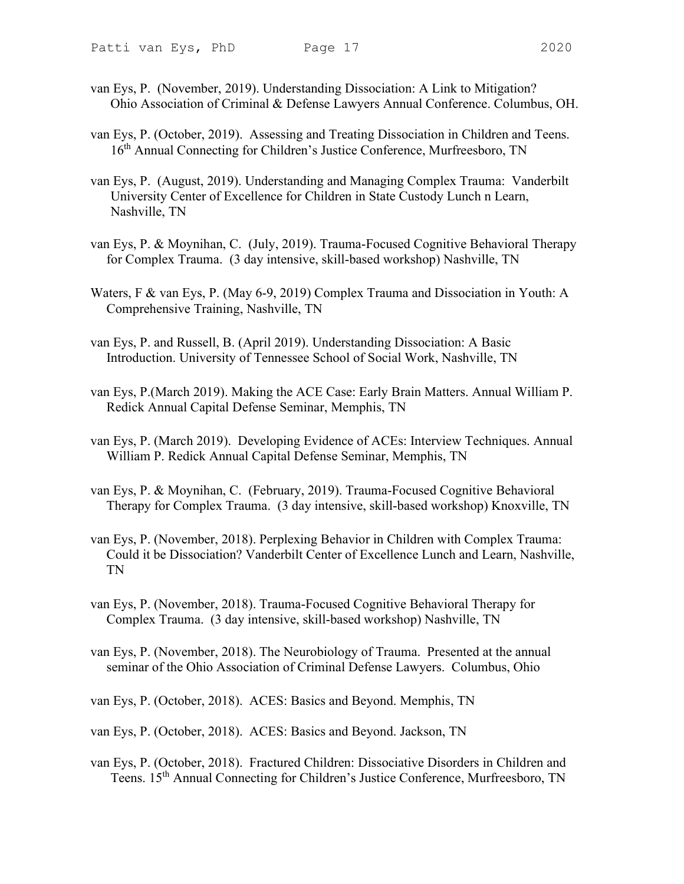- van Eys, P. (November, 2019). Understanding Dissociation: A Link to Mitigation? Ohio Association of Criminal & Defense Lawyers Annual Conference. Columbus, OH.
- van Eys, P. (October, 2019). Assessing and Treating Dissociation in Children and Teens. 16<sup>th</sup> Annual Connecting for Children's Justice Conference, Murfreesboro, TN
- van Eys, P. (August, 2019). Understanding and Managing Complex Trauma: Vanderbilt University Center of Excellence for Children in State Custody Lunch n Learn, Nashville, TN
- van Eys, P. & Moynihan, C. (July, 2019). Trauma-Focused Cognitive Behavioral Therapy for Complex Trauma. (3 day intensive, skill-based workshop) Nashville, TN
- Waters, F & van Eys, P. (May 6-9, 2019) Complex Trauma and Dissociation in Youth: A Comprehensive Training, Nashville, TN
- van Eys, P. and Russell, B. (April 2019). Understanding Dissociation: A Basic Introduction. University of Tennessee School of Social Work, Nashville, TN
- van Eys, P.(March 2019). Making the ACE Case: Early Brain Matters. Annual William P. Redick Annual Capital Defense Seminar, Memphis, TN
- van Eys, P. (March 2019). Developing Evidence of ACEs: Interview Techniques. Annual William P. Redick Annual Capital Defense Seminar, Memphis, TN
- van Eys, P. & Moynihan, C. (February, 2019). Trauma-Focused Cognitive Behavioral Therapy for Complex Trauma. (3 day intensive, skill-based workshop) Knoxville, TN
- van Eys, P. (November, 2018). Perplexing Behavior in Children with Complex Trauma: Could it be Dissociation? Vanderbilt Center of Excellence Lunch and Learn, Nashville, TN
- van Eys, P. (November, 2018). Trauma-Focused Cognitive Behavioral Therapy for Complex Trauma. (3 day intensive, skill-based workshop) Nashville, TN
- van Eys, P. (November, 2018). The Neurobiology of Trauma. Presented at the annual seminar of the Ohio Association of Criminal Defense Lawyers. Columbus, Ohio
- van Eys, P. (October, 2018). ACES: Basics and Beyond. Memphis, TN
- van Eys, P. (October, 2018). ACES: Basics and Beyond. Jackson, TN
- van Eys, P. (October, 2018). Fractured Children: Dissociative Disorders in Children and Teens. 15th Annual Connecting for Children's Justice Conference, Murfreesboro, TN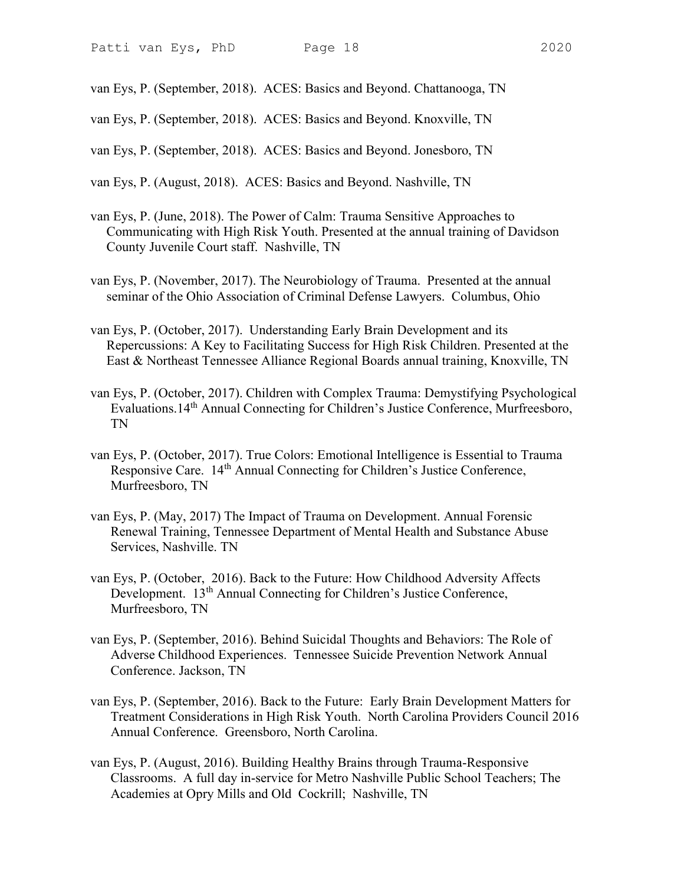van Eys, P. (September, 2018). ACES: Basics and Beyond. Chattanooga, TN

van Eys, P. (September, 2018). ACES: Basics and Beyond. Knoxville, TN

van Eys, P. (September, 2018). ACES: Basics and Beyond. Jonesboro, TN

van Eys, P. (August, 2018). ACES: Basics and Beyond. Nashville, TN

van Eys, P. (June, 2018). The Power of Calm: Trauma Sensitive Approaches to Communicating with High Risk Youth. Presented at the annual training of Davidson County Juvenile Court staff. Nashville, TN

van Eys, P. (November, 2017). The Neurobiology of Trauma. Presented at the annual seminar of the Ohio Association of Criminal Defense Lawyers. Columbus, Ohio

- van Eys, P. (October, 2017). Understanding Early Brain Development and its Repercussions: A Key to Facilitating Success for High Risk Children. Presented at the East & Northeast Tennessee Alliance Regional Boards annual training, Knoxville, TN
- van Eys, P. (October, 2017). Children with Complex Trauma: Demystifying Psychological Evaluations.14<sup>th</sup> Annual Connecting for Children's Justice Conference, Murfreesboro, TN
- van Eys, P. (October, 2017). True Colors: Emotional Intelligence is Essential to Trauma Responsive Care. 14<sup>th</sup> Annual Connecting for Children's Justice Conference, Murfreesboro, TN
- van Eys, P. (May, 2017) The Impact of Trauma on Development. Annual Forensic Renewal Training, Tennessee Department of Mental Health and Substance Abuse Services, Nashville. TN
- van Eys, P. (October, 2016). Back to the Future: How Childhood Adversity Affects Development. 13<sup>th</sup> Annual Connecting for Children's Justice Conference, Murfreesboro, TN
- van Eys, P. (September, 2016). Behind Suicidal Thoughts and Behaviors: The Role of Adverse Childhood Experiences. Tennessee Suicide Prevention Network Annual Conference. Jackson, TN
- van Eys, P. (September, 2016). Back to the Future: Early Brain Development Matters for Treatment Considerations in High Risk Youth. North Carolina Providers Council 2016 Annual Conference. Greensboro, North Carolina.
- van Eys, P. (August, 2016). Building Healthy Brains through Trauma-Responsive Classrooms. A full day in-service for Metro Nashville Public School Teachers; The Academies at Opry Mills and Old Cockrill; Nashville, TN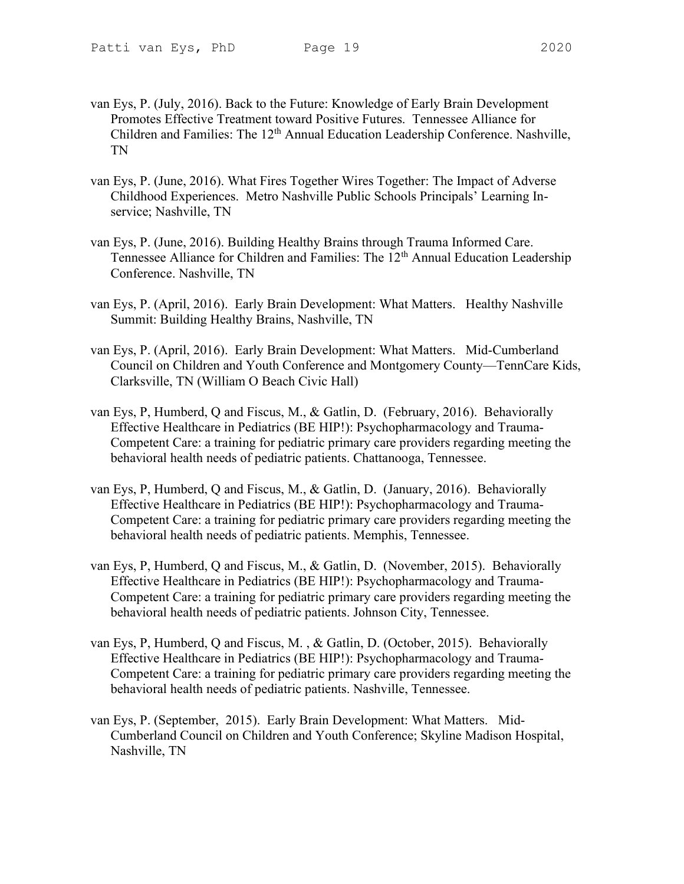- 
- van Eys, P. (July, 2016). Back to the Future: Knowledge of Early Brain Development Promotes Effective Treatment toward Positive Futures. Tennessee Alliance for Children and Families: The 12<sup>th</sup> Annual Education Leadership Conference. Nashville, TN
- van Eys, P. (June, 2016). What Fires Together Wires Together: The Impact of Adverse Childhood Experiences. Metro Nashville Public Schools Principals' Learning Inservice; Nashville, TN
- van Eys, P. (June, 2016). Building Healthy Brains through Trauma Informed Care. Tennessee Alliance for Children and Families: The 12<sup>th</sup> Annual Education Leadership Conference. Nashville, TN
- van Eys, P. (April, 2016). Early Brain Development: What Matters. Healthy Nashville Summit: Building Healthy Brains, Nashville, TN
- van Eys, P. (April, 2016). Early Brain Development: What Matters. Mid-Cumberland Council on Children and Youth Conference and Montgomery County—TennCare Kids, Clarksville, TN (William O Beach Civic Hall)
- van Eys, P, Humberd, Q and Fiscus, M., & Gatlin, D. (February, 2016). Behaviorally Effective Healthcare in Pediatrics (BE HIP!): Psychopharmacology and Trauma-Competent Care: a training for pediatric primary care providers regarding meeting the behavioral health needs of pediatric patients. Chattanooga, Tennessee.
- van Eys, P, Humberd, Q and Fiscus, M., & Gatlin, D. (January, 2016). Behaviorally Effective Healthcare in Pediatrics (BE HIP!): Psychopharmacology and Trauma-Competent Care: a training for pediatric primary care providers regarding meeting the behavioral health needs of pediatric patients. Memphis, Tennessee.
- van Eys, P, Humberd, Q and Fiscus, M., & Gatlin, D. (November, 2015). Behaviorally Effective Healthcare in Pediatrics (BE HIP!): Psychopharmacology and Trauma-Competent Care: a training for pediatric primary care providers regarding meeting the behavioral health needs of pediatric patients. Johnson City, Tennessee.
- van Eys, P, Humberd, Q and Fiscus, M. , & Gatlin, D. (October, 2015). Behaviorally Effective Healthcare in Pediatrics (BE HIP!): Psychopharmacology and Trauma-Competent Care: a training for pediatric primary care providers regarding meeting the behavioral health needs of pediatric patients. Nashville, Tennessee.
- van Eys, P. (September, 2015). Early Brain Development: What Matters. Mid-Cumberland Council on Children and Youth Conference; Skyline Madison Hospital, Nashville, TN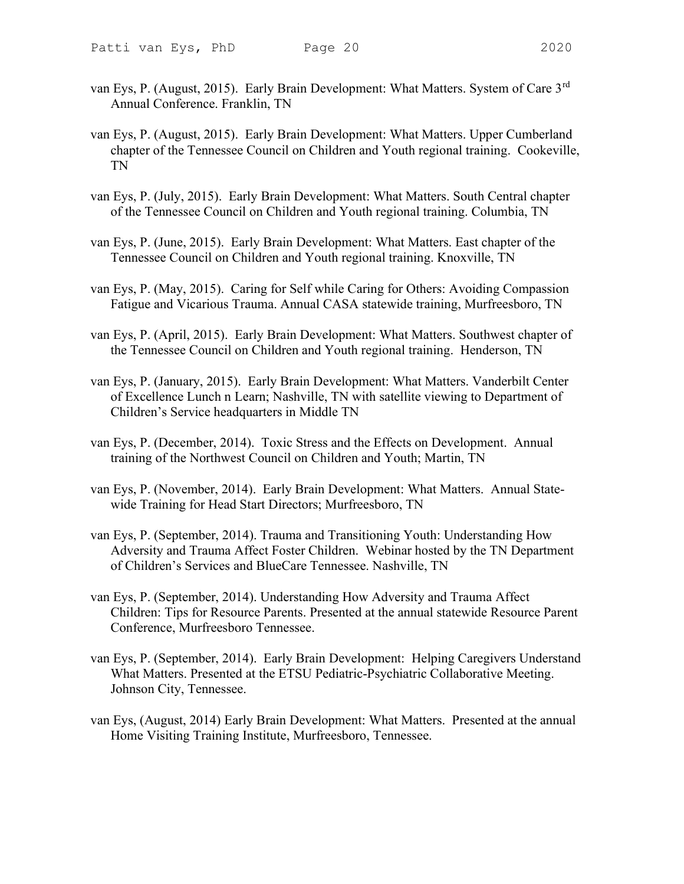- van Eys, P. (August, 2015). Early Brain Development: What Matters. System of Care 3rd Annual Conference. Franklin, TN
- van Eys, P. (August, 2015). Early Brain Development: What Matters. Upper Cumberland chapter of the Tennessee Council on Children and Youth regional training. Cookeville, TN
- van Eys, P. (July, 2015). Early Brain Development: What Matters. South Central chapter of the Tennessee Council on Children and Youth regional training. Columbia, TN
- van Eys, P. (June, 2015). Early Brain Development: What Matters. East chapter of the Tennessee Council on Children and Youth regional training. Knoxville, TN
- van Eys, P. (May, 2015). Caring for Self while Caring for Others: Avoiding Compassion Fatigue and Vicarious Trauma. Annual CASA statewide training, Murfreesboro, TN
- van Eys, P. (April, 2015). Early Brain Development: What Matters. Southwest chapter of the Tennessee Council on Children and Youth regional training. Henderson, TN
- van Eys, P. (January, 2015). Early Brain Development: What Matters. Vanderbilt Center of Excellence Lunch n Learn; Nashville, TN with satellite viewing to Department of Children's Service headquarters in Middle TN
- van Eys, P. (December, 2014). Toxic Stress and the Effects on Development. Annual training of the Northwest Council on Children and Youth; Martin, TN
- van Eys, P. (November, 2014). Early Brain Development: What Matters. Annual Statewide Training for Head Start Directors; Murfreesboro, TN
- van Eys, P. (September, 2014). Trauma and Transitioning Youth: Understanding How Adversity and Trauma Affect Foster Children. Webinar hosted by the TN Department of Children's Services and BlueCare Tennessee. Nashville, TN
- van Eys, P. (September, 2014). Understanding How Adversity and Trauma Affect Children: Tips for Resource Parents. Presented at the annual statewide Resource Parent Conference, Murfreesboro Tennessee.
- van Eys, P. (September, 2014). Early Brain Development: Helping Caregivers Understand What Matters. Presented at the ETSU Pediatric-Psychiatric Collaborative Meeting. Johnson City, Tennessee.
- van Eys, (August, 2014) Early Brain Development: What Matters. Presented at the annual Home Visiting Training Institute, Murfreesboro, Tennessee.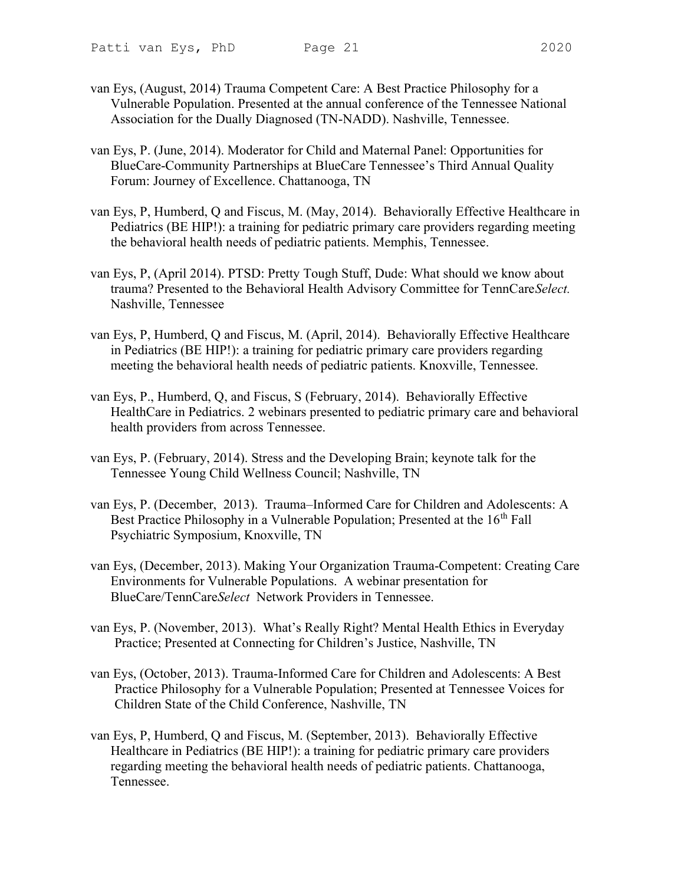- van Eys, (August, 2014) Trauma Competent Care: A Best Practice Philosophy for a Vulnerable Population. Presented at the annual conference of the Tennessee National Association for the Dually Diagnosed (TN-NADD). Nashville, Tennessee.
- van Eys, P. (June, 2014). Moderator for Child and Maternal Panel: Opportunities for BlueCare-Community Partnerships at BlueCare Tennessee's Third Annual Quality Forum: Journey of Excellence. Chattanooga, TN
- van Eys, P, Humberd, Q and Fiscus, M. (May, 2014). Behaviorally Effective Healthcare in Pediatrics (BE HIP!): a training for pediatric primary care providers regarding meeting the behavioral health needs of pediatric patients. Memphis, Tennessee.
- van Eys, P, (April 2014). PTSD: Pretty Tough Stuff, Dude: What should we know about trauma? Presented to the Behavioral Health Advisory Committee for TennCareSelect. Nashville, Tennessee
- van Eys, P, Humberd, Q and Fiscus, M. (April, 2014). Behaviorally Effective Healthcare in Pediatrics (BE HIP!): a training for pediatric primary care providers regarding meeting the behavioral health needs of pediatric patients. Knoxville, Tennessee.
- van Eys, P., Humberd, Q, and Fiscus, S (February, 2014). Behaviorally Effective HealthCare in Pediatrics. 2 webinars presented to pediatric primary care and behavioral health providers from across Tennessee.
- van Eys, P. (February, 2014). Stress and the Developing Brain; keynote talk for the Tennessee Young Child Wellness Council; Nashville, TN
- van Eys, P. (December, 2013). Trauma–Informed Care for Children and Adolescents: A Best Practice Philosophy in a Vulnerable Population; Presented at the 16<sup>th</sup> Fall Psychiatric Symposium, Knoxville, TN
- van Eys, (December, 2013). Making Your Organization Trauma-Competent: Creating Care Environments for Vulnerable Populations. A webinar presentation for BlueCare/TennCareSelect Network Providers in Tennessee.
- van Eys, P. (November, 2013). What's Really Right? Mental Health Ethics in Everyday Practice; Presented at Connecting for Children's Justice, Nashville, TN
- van Eys, (October, 2013). Trauma-Informed Care for Children and Adolescents: A Best Practice Philosophy for a Vulnerable Population; Presented at Tennessee Voices for Children State of the Child Conference, Nashville, TN
- van Eys, P, Humberd, Q and Fiscus, M. (September, 2013). Behaviorally Effective Healthcare in Pediatrics (BE HIP!): a training for pediatric primary care providers regarding meeting the behavioral health needs of pediatric patients. Chattanooga, Tennessee.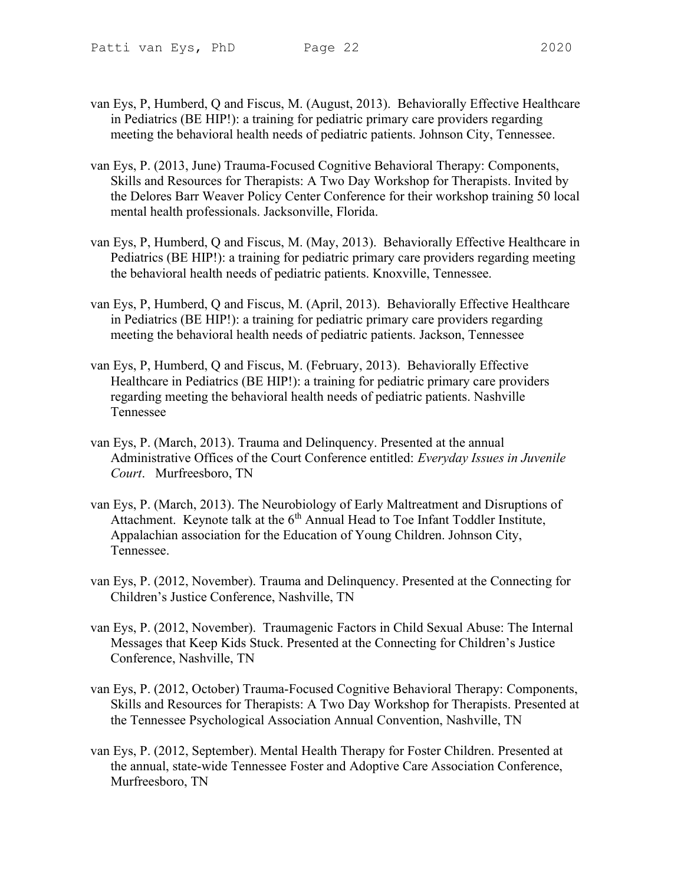- 
- van Eys, P, Humberd, Q and Fiscus, M. (August, 2013). Behaviorally Effective Healthcare in Pediatrics (BE HIP!): a training for pediatric primary care providers regarding meeting the behavioral health needs of pediatric patients. Johnson City, Tennessee.
- van Eys, P. (2013, June) Trauma-Focused Cognitive Behavioral Therapy: Components, Skills and Resources for Therapists: A Two Day Workshop for Therapists. Invited by the Delores Barr Weaver Policy Center Conference for their workshop training 50 local mental health professionals. Jacksonville, Florida.
- van Eys, P, Humberd, Q and Fiscus, M. (May, 2013). Behaviorally Effective Healthcare in Pediatrics (BE HIP!): a training for pediatric primary care providers regarding meeting the behavioral health needs of pediatric patients. Knoxville, Tennessee.
- van Eys, P, Humberd, Q and Fiscus, M. (April, 2013). Behaviorally Effective Healthcare in Pediatrics (BE HIP!): a training for pediatric primary care providers regarding meeting the behavioral health needs of pediatric patients. Jackson, Tennessee
- van Eys, P, Humberd, Q and Fiscus, M. (February, 2013). Behaviorally Effective Healthcare in Pediatrics (BE HIP!): a training for pediatric primary care providers regarding meeting the behavioral health needs of pediatric patients. Nashville Tennessee
- van Eys, P. (March, 2013). Trauma and Delinquency. Presented at the annual Administrative Offices of the Court Conference entitled: Everyday Issues in Juvenile Court. Murfreesboro, TN
- van Eys, P. (March, 2013). The Neurobiology of Early Maltreatment and Disruptions of Attachment. Keynote talk at the  $6<sup>th</sup>$  Annual Head to Toe Infant Toddler Institute, Appalachian association for the Education of Young Children. Johnson City, Tennessee.
- van Eys, P. (2012, November). Trauma and Delinquency. Presented at the Connecting for Children's Justice Conference, Nashville, TN
- van Eys, P. (2012, November). Traumagenic Factors in Child Sexual Abuse: The Internal Messages that Keep Kids Stuck. Presented at the Connecting for Children's Justice Conference, Nashville, TN
- van Eys, P. (2012, October) Trauma-Focused Cognitive Behavioral Therapy: Components, Skills and Resources for Therapists: A Two Day Workshop for Therapists. Presented at the Tennessee Psychological Association Annual Convention, Nashville, TN
- van Eys, P. (2012, September). Mental Health Therapy for Foster Children. Presented at the annual, state-wide Tennessee Foster and Adoptive Care Association Conference, Murfreesboro, TN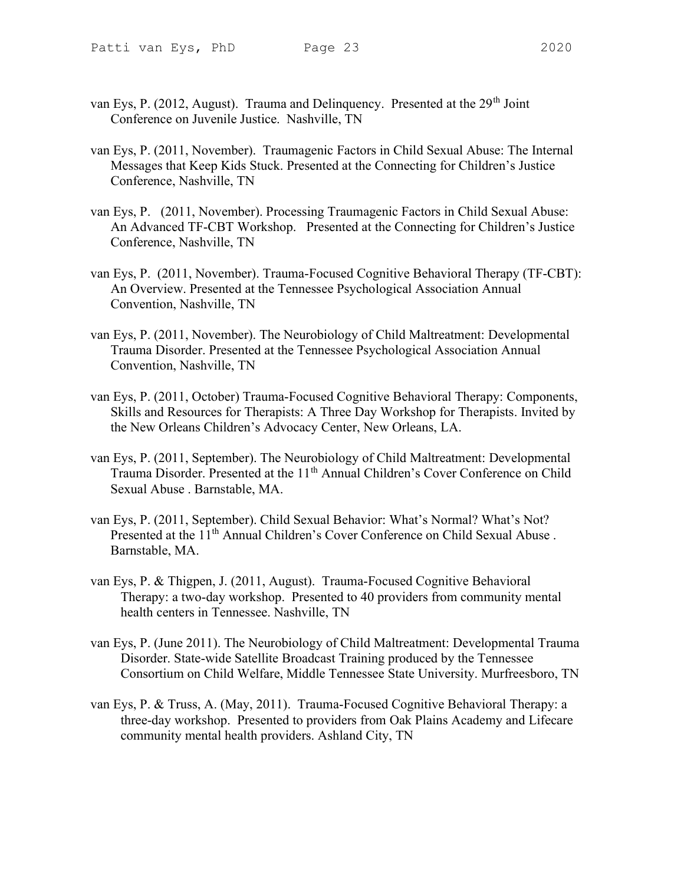- 
- van Eys, P. (2012, August). Trauma and Delinquency. Presented at the 29<sup>th</sup> Joint Conference on Juvenile Justice. Nashville, TN
- van Eys, P. (2011, November). Traumagenic Factors in Child Sexual Abuse: The Internal Messages that Keep Kids Stuck. Presented at the Connecting for Children's Justice Conference, Nashville, TN
- van Eys, P. (2011, November). Processing Traumagenic Factors in Child Sexual Abuse: An Advanced TF-CBT Workshop. Presented at the Connecting for Children's Justice Conference, Nashville, TN
- van Eys, P. (2011, November). Trauma-Focused Cognitive Behavioral Therapy (TF-CBT): An Overview. Presented at the Tennessee Psychological Association Annual Convention, Nashville, TN
- van Eys, P. (2011, November). The Neurobiology of Child Maltreatment: Developmental Trauma Disorder. Presented at the Tennessee Psychological Association Annual Convention, Nashville, TN
- van Eys, P. (2011, October) Trauma-Focused Cognitive Behavioral Therapy: Components, Skills and Resources for Therapists: A Three Day Workshop for Therapists. Invited by the New Orleans Children's Advocacy Center, New Orleans, LA.
- van Eys, P. (2011, September). The Neurobiology of Child Maltreatment: Developmental Trauma Disorder. Presented at the 11<sup>th</sup> Annual Children's Cover Conference on Child Sexual Abuse . Barnstable, MA.
- van Eys, P. (2011, September). Child Sexual Behavior: What's Normal? What's Not? Presented at the 11<sup>th</sup> Annual Children's Cover Conference on Child Sexual Abuse. Barnstable, MA.
- van Eys, P. & Thigpen, J. (2011, August). Trauma-Focused Cognitive Behavioral Therapy: a two-day workshop. Presented to 40 providers from community mental health centers in Tennessee. Nashville, TN
- van Eys, P. (June 2011). The Neurobiology of Child Maltreatment: Developmental Trauma Disorder. State-wide Satellite Broadcast Training produced by the Tennessee Consortium on Child Welfare, Middle Tennessee State University. Murfreesboro, TN
- van Eys, P. & Truss, A. (May, 2011). Trauma-Focused Cognitive Behavioral Therapy: a three-day workshop. Presented to providers from Oak Plains Academy and Lifecare community mental health providers. Ashland City, TN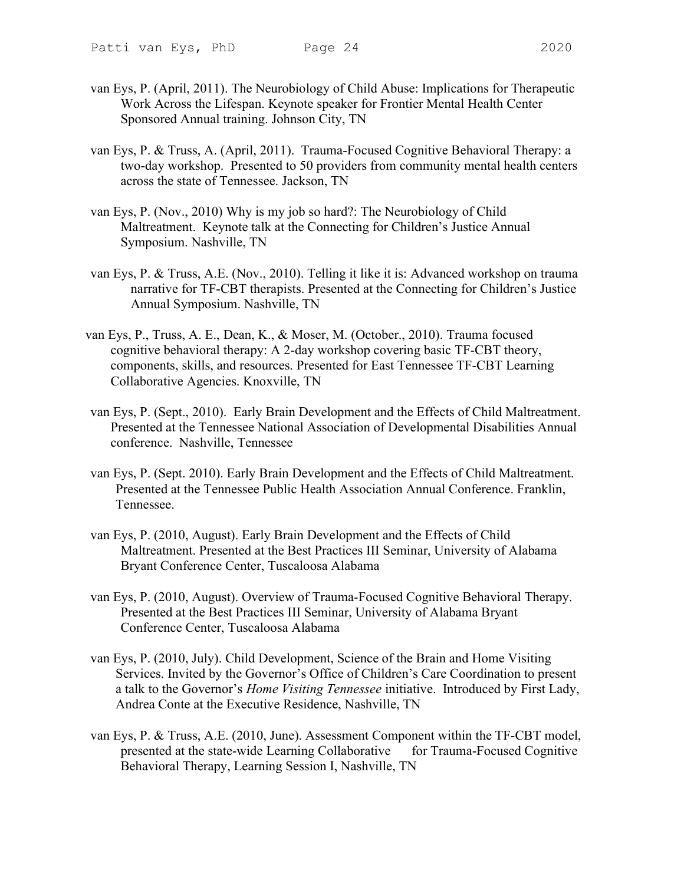- van Eys, P. (April, 2011). The Neurobiology of Child Abuse: Implications for Therapeutic Work Across the Lifespan. Keynote speaker for Frontier Mental Health Center Sponsored Annual training. Johnson City, TN
- van Eys, P. & Truss, A. (April, 2011). Trauma-Focused Cognitive Behavioral Therapy: a two-day workshop. Presented to 50 providers from community mental health centers across the state of Tennessee. Jackson, TN
- van Eys, P. (Nov., 2010) Why is my job so hard?: The Neurobiology of Child Maltreatment. Keynote talk at the Connecting for Children's Justice Annual Symposium. Nashville, TN
- van Eys, P. & Truss, A.E. (Nov., 2010). Telling it like it is: Advanced workshop on trauma narrative for TF-CBT therapists. Presented at the Connecting for Children's Justice Annual Symposium. Nashville, TN
- van Eys, P., Truss, A. E., Dean, K., & Moser, M. (October., 2010). Trauma focused cognitive behavioral therapy: A 2-day workshop covering basic TF-CBT theory, components, skills, and resources. Presented for East Tennessee TF-CBT Learning Collaborative Agencies. Knoxville, TN
- van Eys, P. (Sept., 2010). Early Brain Development and the Effects of Child Maltreatment. Presented at the Tennessee National Association of Developmental Disabilities Annual conference. Nashville, Tennessee
- van Eys, P. (Sept. 2010). Early Brain Development and the Effects of Child Maltreatment. Presented at the Tennessee Public Health Association Annual Conference. Franklin, Tennessee.
- van Eys, P. (2010, August). Early Brain Development and the Effects of Child Maltreatment. Presented at the Best Practices III Seminar, University of Alabama Bryant Conference Center, Tuscaloosa Alabama
- van Eys, P. (2010, August). Overview of Trauma-Focused Cognitive Behavioral Therapy. Presented at the Best Practices III Seminar, University of Alabama Bryant Conference Center, Tuscaloosa Alabama
- van Eys, P. (2010, July). Child Development, Science of the Brain and Home Visiting Services. Invited by the Governor's Office of Children's Care Coordination to present a talk to the Governor's Home Visiting Tennessee initiative. Introduced by First Lady, Andrea Conte at the Executive Residence, Nashville, TN
- van Eys, P. & Truss, A.E. (2010, June). Assessment Component within the TF-CBT model, presented at the state-wide Learning Collaborative for Trauma-Focused Cognitive Behavioral Therapy, Learning Session I, Nashville, TN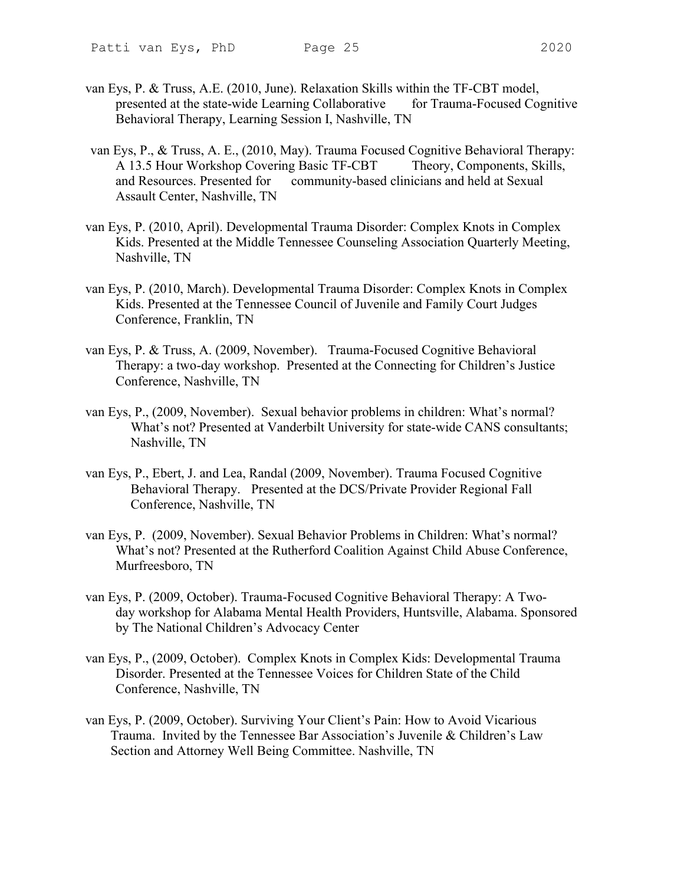- 
- van Eys, P. & Truss, A.E. (2010, June). Relaxation Skills within the TF-CBT model, presented at the state-wide Learning Collaborative for Trauma-Focused Cognitive Behavioral Therapy, Learning Session I, Nashville, TN
- van Eys, P., & Truss, A. E., (2010, May). Trauma Focused Cognitive Behavioral Therapy: A 13.5 Hour Workshop Covering Basic TF-CBT Theory, Components, Skills, and Resources. Presented for community-based clinicians and held at Sexual Assault Center, Nashville, TN
- van Eys, P. (2010, April). Developmental Trauma Disorder: Complex Knots in Complex Kids. Presented at the Middle Tennessee Counseling Association Quarterly Meeting, Nashville, TN
- van Eys, P. (2010, March). Developmental Trauma Disorder: Complex Knots in Complex Kids. Presented at the Tennessee Council of Juvenile and Family Court Judges Conference, Franklin, TN
- van Eys, P. & Truss, A. (2009, November). Trauma-Focused Cognitive Behavioral Therapy: a two-day workshop. Presented at the Connecting for Children's Justice Conference, Nashville, TN
- van Eys, P., (2009, November). Sexual behavior problems in children: What's normal? What's not? Presented at Vanderbilt University for state-wide CANS consultants; Nashville, TN
- van Eys, P., Ebert, J. and Lea, Randal (2009, November). Trauma Focused Cognitive Behavioral Therapy. Presented at the DCS/Private Provider Regional Fall Conference, Nashville, TN
- van Eys, P. (2009, November). Sexual Behavior Problems in Children: What's normal? What's not? Presented at the Rutherford Coalition Against Child Abuse Conference, Murfreesboro, TN
- van Eys, P. (2009, October). Trauma-Focused Cognitive Behavioral Therapy: A Twoday workshop for Alabama Mental Health Providers, Huntsville, Alabama. Sponsored by The National Children's Advocacy Center
- van Eys, P., (2009, October). Complex Knots in Complex Kids: Developmental Trauma Disorder. Presented at the Tennessee Voices for Children State of the Child Conference, Nashville, TN
- van Eys, P. (2009, October). Surviving Your Client's Pain: How to Avoid Vicarious Trauma. Invited by the Tennessee Bar Association's Juvenile & Children's Law Section and Attorney Well Being Committee. Nashville, TN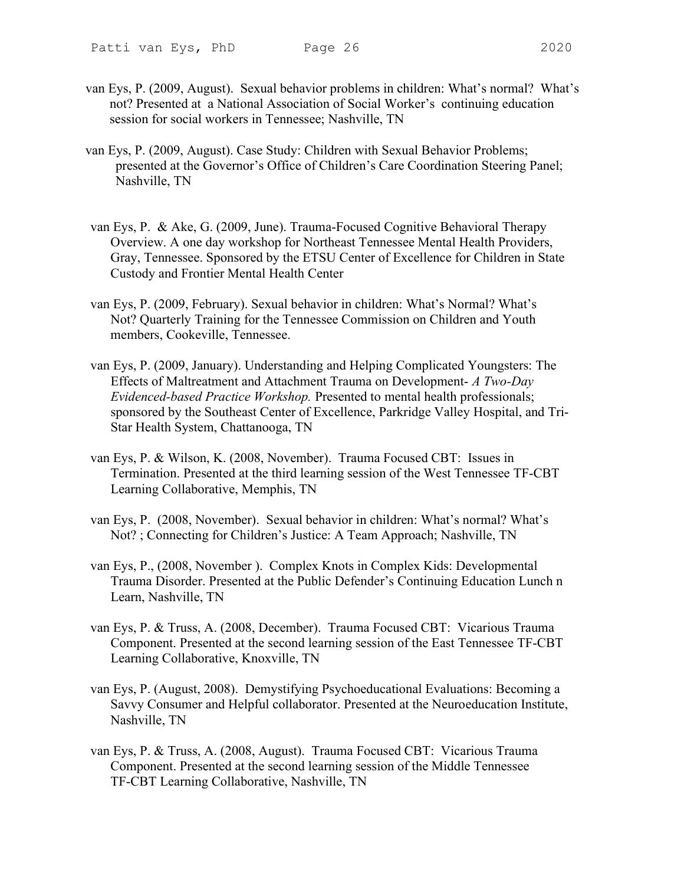- 
- van Eys, P. (2009, August). Sexual behavior problems in children: What's normal? What's not? Presented at a National Association of Social Worker's continuing education session for social workers in Tennessee; Nashville, TN
- van Eys, P. (2009, August). Case Study: Children with Sexual Behavior Problems; presented at the Governor's Office of Children's Care Coordination Steering Panel; Nashville, TN
- van Eys, P. & Ake, G. (2009, June). Trauma-Focused Cognitive Behavioral Therapy Overview. A one day workshop for Northeast Tennessee Mental Health Providers, Gray, Tennessee. Sponsored by the ETSU Center of Excellence for Children in State Custody and Frontier Mental Health Center
- van Eys, P. (2009, February). Sexual behavior in children: What's Normal? What's Not? Quarterly Training for the Tennessee Commission on Children and Youth members, Cookeville, Tennessee.
- van Eys, P. (2009, January). Understanding and Helping Complicated Youngsters: The Effects of Maltreatment and Attachment Trauma on Development- A Two-Day Evidenced-based Practice Workshop. Presented to mental health professionals; sponsored by the Southeast Center of Excellence, Parkridge Valley Hospital, and Tri-Star Health System, Chattanooga, TN
- van Eys, P. & Wilson, K. (2008, November). Trauma Focused CBT: Issues in Termination. Presented at the third learning session of the West Tennessee TF-CBT Learning Collaborative, Memphis, TN
- van Eys, P. (2008, November). Sexual behavior in children: What's normal? What's Not? ; Connecting for Children's Justice: A Team Approach; Nashville, TN
- van Eys, P., (2008, November ). Complex Knots in Complex Kids: Developmental Trauma Disorder. Presented at the Public Defender's Continuing Education Lunch n Learn, Nashville, TN
- van Eys, P. & Truss, A. (2008, December). Trauma Focused CBT: Vicarious Trauma Component. Presented at the second learning session of the East Tennessee TF-CBT Learning Collaborative, Knoxville, TN
- van Eys, P. (August, 2008). Demystifying Psychoeducational Evaluations: Becoming a Savvy Consumer and Helpful collaborator. Presented at the Neuroeducation Institute, Nashville, TN
- van Eys, P. & Truss, A. (2008, August). Trauma Focused CBT: Vicarious Trauma Component. Presented at the second learning session of the Middle Tennessee TF-CBT Learning Collaborative, Nashville, TN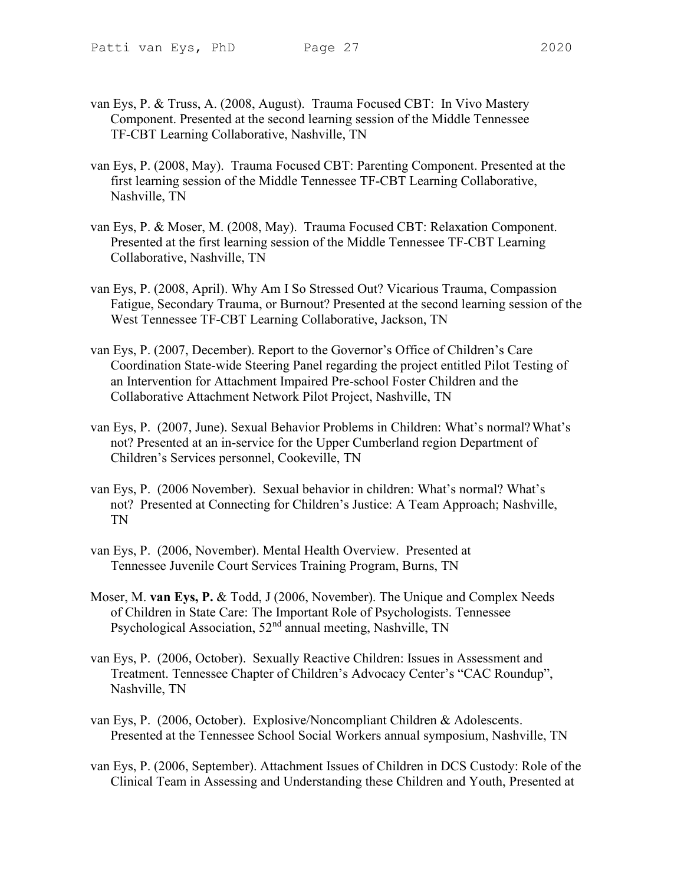- van Eys, P. & Truss, A. (2008, August). Trauma Focused CBT: In Vivo Mastery Component. Presented at the second learning session of the Middle Tennessee TF-CBT Learning Collaborative, Nashville, TN
- van Eys, P. (2008, May). Trauma Focused CBT: Parenting Component. Presented at the first learning session of the Middle Tennessee TF-CBT Learning Collaborative, Nashville, TN
- van Eys, P. & Moser, M. (2008, May). Trauma Focused CBT: Relaxation Component. Presented at the first learning session of the Middle Tennessee TF-CBT Learning Collaborative, Nashville, TN
- van Eys, P. (2008, April). Why Am I So Stressed Out? Vicarious Trauma, Compassion Fatigue, Secondary Trauma, or Burnout? Presented at the second learning session of the West Tennessee TF-CBT Learning Collaborative, Jackson, TN
- van Eys, P. (2007, December). Report to the Governor's Office of Children's Care Coordination State-wide Steering Panel regarding the project entitled Pilot Testing of an Intervention for Attachment Impaired Pre-school Foster Children and the Collaborative Attachment Network Pilot Project, Nashville, TN
- van Eys, P. (2007, June). Sexual Behavior Problems in Children: What's normal? What's not? Presented at an in-service for the Upper Cumberland region Department of Children's Services personnel, Cookeville, TN
- van Eys, P. (2006 November). Sexual behavior in children: What's normal? What's not? Presented at Connecting for Children's Justice: A Team Approach; Nashville, TN
- van Eys, P. (2006, November). Mental Health Overview. Presented at Tennessee Juvenile Court Services Training Program, Burns, TN
- Moser, M. van Eys, P. & Todd, J (2006, November). The Unique and Complex Needs of Children in State Care: The Important Role of Psychologists. Tennessee Psychological Association, 52<sup>nd</sup> annual meeting, Nashville, TN
- van Eys, P. (2006, October). Sexually Reactive Children: Issues in Assessment and Treatment. Tennessee Chapter of Children's Advocacy Center's "CAC Roundup", Nashville, TN
- van Eys, P. (2006, October). Explosive/Noncompliant Children & Adolescents. Presented at the Tennessee School Social Workers annual symposium, Nashville, TN
- van Eys, P. (2006, September). Attachment Issues of Children in DCS Custody: Role of the Clinical Team in Assessing and Understanding these Children and Youth, Presented at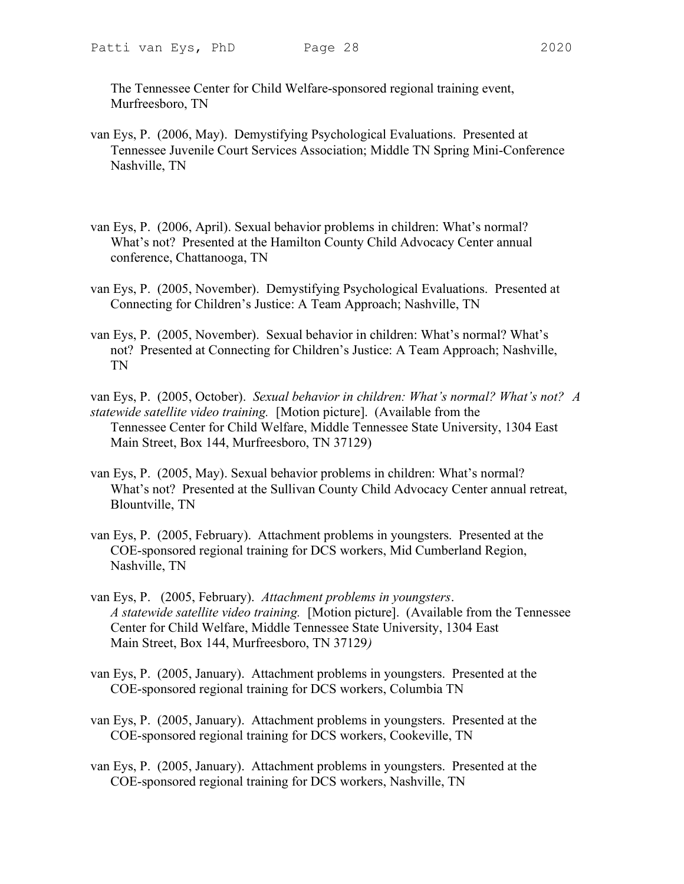The Tennessee Center for Child Welfare-sponsored regional training event, Murfreesboro, TN

- van Eys, P. (2006, May). Demystifying Psychological Evaluations. Presented at Tennessee Juvenile Court Services Association; Middle TN Spring Mini-Conference Nashville, TN
- van Eys, P. (2006, April). Sexual behavior problems in children: What's normal? What's not? Presented at the Hamilton County Child Advocacy Center annual conference, Chattanooga, TN
- van Eys, P. (2005, November). Demystifying Psychological Evaluations. Presented at Connecting for Children's Justice: A Team Approach; Nashville, TN
- van Eys, P. (2005, November). Sexual behavior in children: What's normal? What's not? Presented at Connecting for Children's Justice: A Team Approach; Nashville, TN
- van Eys, P. (2005, October). Sexual behavior in children: What's normal? What's not? A statewide satellite video training. [Motion picture]. (Available from the Tennessee Center for Child Welfare, Middle Tennessee State University, 1304 East Main Street, Box 144, Murfreesboro, TN 37129)
- van Eys, P. (2005, May). Sexual behavior problems in children: What's normal? What's not? Presented at the Sullivan County Child Advocacy Center annual retreat, Blountville, TN
- van Eys, P. (2005, February). Attachment problems in youngsters. Presented at the COE-sponsored regional training for DCS workers, Mid Cumberland Region, Nashville, TN
- van Eys, P. (2005, February). Attachment problems in youngsters. A statewide satellite video training. [Motion picture]. (Available from the Tennessee Center for Child Welfare, Middle Tennessee State University, 1304 East Main Street, Box 144, Murfreesboro, TN 37129)
- van Eys, P. (2005, January). Attachment problems in youngsters. Presented at the COE-sponsored regional training for DCS workers, Columbia TN
- van Eys, P. (2005, January). Attachment problems in youngsters. Presented at the COE-sponsored regional training for DCS workers, Cookeville, TN
- van Eys, P. (2005, January). Attachment problems in youngsters. Presented at the COE-sponsored regional training for DCS workers, Nashville, TN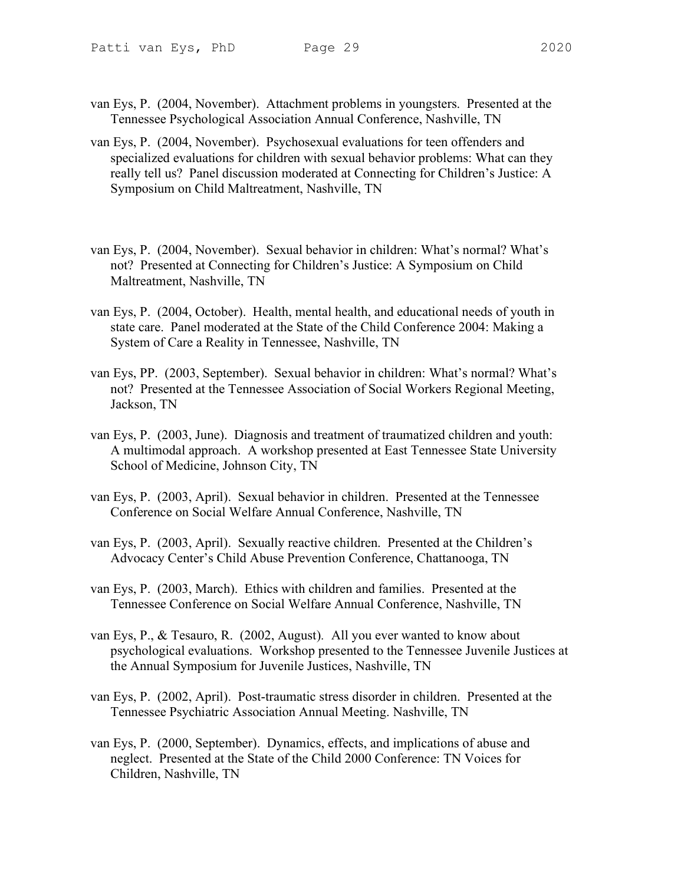- 
- van Eys, P. (2004, November). Attachment problems in youngsters. Presented at the Tennessee Psychological Association Annual Conference, Nashville, TN
- van Eys, P. (2004, November). Psychosexual evaluations for teen offenders and specialized evaluations for children with sexual behavior problems: What can they really tell us? Panel discussion moderated at Connecting for Children's Justice: A Symposium on Child Maltreatment, Nashville, TN
- van Eys, P. (2004, November). Sexual behavior in children: What's normal? What's not? Presented at Connecting for Children's Justice: A Symposium on Child Maltreatment, Nashville, TN
- van Eys, P. (2004, October). Health, mental health, and educational needs of youth in state care. Panel moderated at the State of the Child Conference 2004: Making a System of Care a Reality in Tennessee, Nashville, TN
- van Eys, PP. (2003, September). Sexual behavior in children: What's normal? What's not? Presented at the Tennessee Association of Social Workers Regional Meeting, Jackson, TN
- van Eys, P. (2003, June). Diagnosis and treatment of traumatized children and youth: A multimodal approach. A workshop presented at East Tennessee State University School of Medicine, Johnson City, TN
- van Eys, P. (2003, April). Sexual behavior in children. Presented at the Tennessee Conference on Social Welfare Annual Conference, Nashville, TN
- van Eys, P. (2003, April). Sexually reactive children. Presented at the Children's Advocacy Center's Child Abuse Prevention Conference, Chattanooga, TN
- van Eys, P. (2003, March). Ethics with children and families. Presented at the Tennessee Conference on Social Welfare Annual Conference, Nashville, TN
- van Eys, P., & Tesauro, R. (2002, August). All you ever wanted to know about psychological evaluations. Workshop presented to the Tennessee Juvenile Justices at the Annual Symposium for Juvenile Justices, Nashville, TN
- van Eys, P. (2002, April). Post-traumatic stress disorder in children. Presented at the Tennessee Psychiatric Association Annual Meeting. Nashville, TN
- van Eys, P. (2000, September). Dynamics, effects, and implications of abuse and neglect. Presented at the State of the Child 2000 Conference: TN Voices for Children, Nashville, TN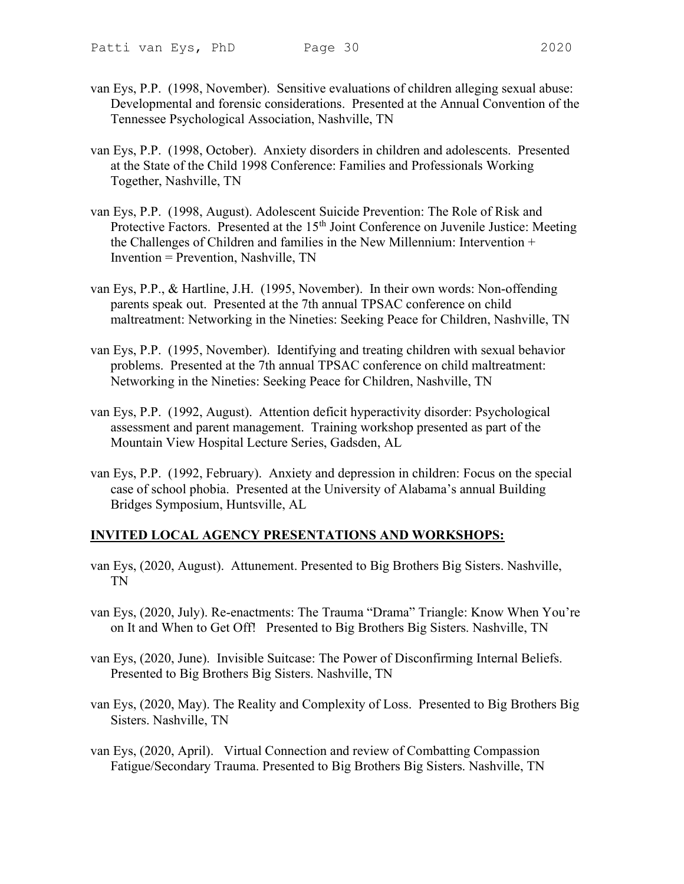- 
- van Eys, P.P. (1998, November). Sensitive evaluations of children alleging sexual abuse: Developmental and forensic considerations. Presented at the Annual Convention of the Tennessee Psychological Association, Nashville, TN
- van Eys, P.P. (1998, October). Anxiety disorders in children and adolescents. Presented at the State of the Child 1998 Conference: Families and Professionals Working Together, Nashville, TN
- van Eys, P.P. (1998, August). Adolescent Suicide Prevention: The Role of Risk and Protective Factors. Presented at the 15<sup>th</sup> Joint Conference on Juvenile Justice: Meeting the Challenges of Children and families in the New Millennium: Intervention + Invention = Prevention, Nashville, TN
- van Eys, P.P., & Hartline, J.H. (1995, November). In their own words: Non-offending parents speak out. Presented at the 7th annual TPSAC conference on child maltreatment: Networking in the Nineties: Seeking Peace for Children, Nashville, TN
- van Eys, P.P. (1995, November). Identifying and treating children with sexual behavior problems. Presented at the 7th annual TPSAC conference on child maltreatment: Networking in the Nineties: Seeking Peace for Children, Nashville, TN
- van Eys, P.P. (1992, August). Attention deficit hyperactivity disorder: Psychological assessment and parent management. Training workshop presented as part of the Mountain View Hospital Lecture Series, Gadsden, AL
- van Eys, P.P. (1992, February). Anxiety and depression in children: Focus on the special case of school phobia. Presented at the University of Alabama's annual Building Bridges Symposium, Huntsville, AL

# INVITED LOCAL AGENCY PRESENTATIONS AND WORKSHOPS:

- van Eys, (2020, August). Attunement. Presented to Big Brothers Big Sisters. Nashville, TN
- van Eys, (2020, July). Re-enactments: The Trauma "Drama" Triangle: Know When You're on It and When to Get Off! Presented to Big Brothers Big Sisters. Nashville, TN
- van Eys, (2020, June). Invisible Suitcase: The Power of Disconfirming Internal Beliefs. Presented to Big Brothers Big Sisters. Nashville, TN
- van Eys, (2020, May). The Reality and Complexity of Loss. Presented to Big Brothers Big Sisters. Nashville, TN
- van Eys, (2020, April). Virtual Connection and review of Combatting Compassion Fatigue/Secondary Trauma. Presented to Big Brothers Big Sisters. Nashville, TN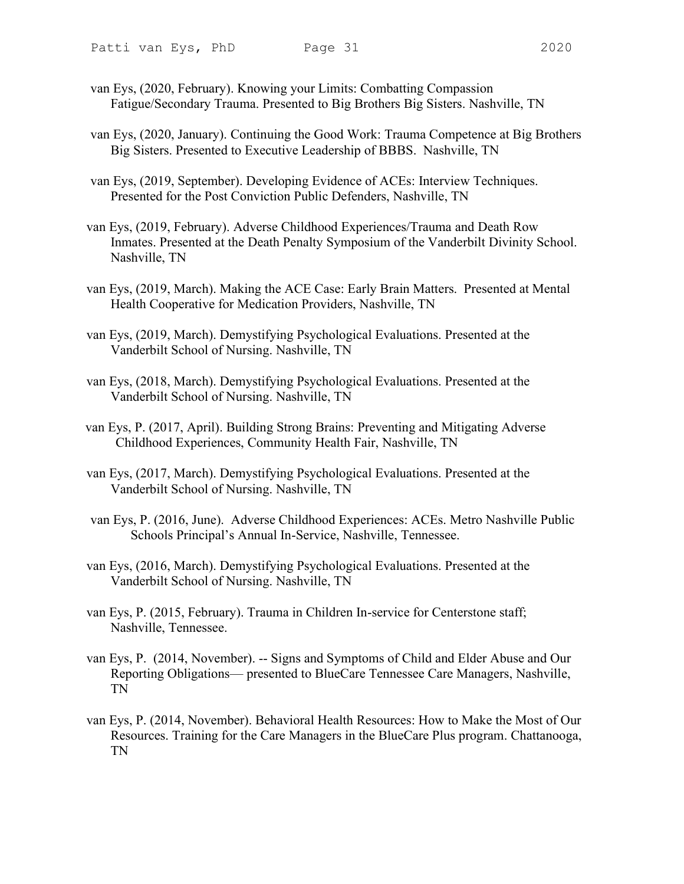- van Eys, (2020, February). Knowing your Limits: Combatting Compassion Fatigue/Secondary Trauma. Presented to Big Brothers Big Sisters. Nashville, TN
- van Eys, (2020, January). Continuing the Good Work: Trauma Competence at Big Brothers Big Sisters. Presented to Executive Leadership of BBBS. Nashville, TN
- van Eys, (2019, September). Developing Evidence of ACEs: Interview Techniques. Presented for the Post Conviction Public Defenders, Nashville, TN
- van Eys, (2019, February). Adverse Childhood Experiences/Trauma and Death Row Inmates. Presented at the Death Penalty Symposium of the Vanderbilt Divinity School. Nashville, TN
- van Eys, (2019, March). Making the ACE Case: Early Brain Matters. Presented at Mental Health Cooperative for Medication Providers, Nashville, TN
- van Eys, (2019, March). Demystifying Psychological Evaluations. Presented at the Vanderbilt School of Nursing. Nashville, TN
- van Eys, (2018, March). Demystifying Psychological Evaluations. Presented at the Vanderbilt School of Nursing. Nashville, TN
- van Eys, P. (2017, April). Building Strong Brains: Preventing and Mitigating Adverse Childhood Experiences, Community Health Fair, Nashville, TN
- van Eys, (2017, March). Demystifying Psychological Evaluations. Presented at the Vanderbilt School of Nursing. Nashville, TN
- van Eys, P. (2016, June). Adverse Childhood Experiences: ACEs. Metro Nashville Public Schools Principal's Annual In-Service, Nashville, Tennessee.
- van Eys, (2016, March). Demystifying Psychological Evaluations. Presented at the Vanderbilt School of Nursing. Nashville, TN
- van Eys, P. (2015, February). Trauma in Children In-service for Centerstone staff; Nashville, Tennessee.
- van Eys, P. (2014, November). -- Signs and Symptoms of Child and Elder Abuse and Our Reporting Obligations— presented to BlueCare Tennessee Care Managers, Nashville, TN
- van Eys, P. (2014, November). Behavioral Health Resources: How to Make the Most of Our Resources. Training for the Care Managers in the BlueCare Plus program. Chattanooga, TN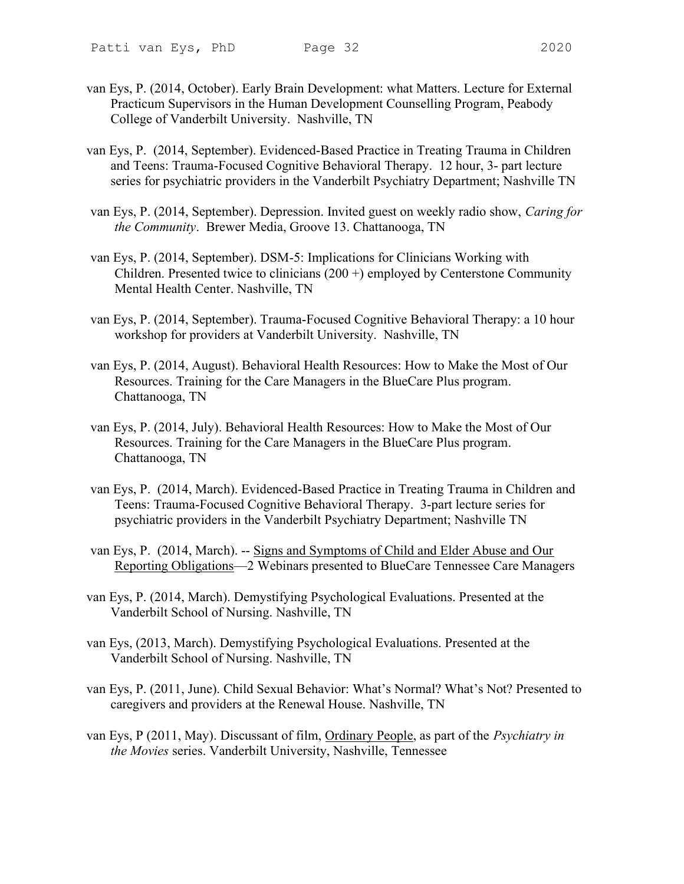- 
- van Eys, P. (2014, October). Early Brain Development: what Matters. Lecture for External Practicum Supervisors in the Human Development Counselling Program, Peabody College of Vanderbilt University. Nashville, TN
- van Eys, P. (2014, September). Evidenced-Based Practice in Treating Trauma in Children and Teens: Trauma-Focused Cognitive Behavioral Therapy. 12 hour, 3- part lecture series for psychiatric providers in the Vanderbilt Psychiatry Department; Nashville TN
- van Eys, P. (2014, September). Depression. Invited guest on weekly radio show, Caring for the Community. Brewer Media, Groove 13. Chattanooga, TN
- van Eys, P. (2014, September). DSM-5: Implications for Clinicians Working with Children. Presented twice to clinicians (200 +) employed by Centerstone Community Mental Health Center. Nashville, TN
- van Eys, P. (2014, September). Trauma-Focused Cognitive Behavioral Therapy: a 10 hour workshop for providers at Vanderbilt University. Nashville, TN
- van Eys, P. (2014, August). Behavioral Health Resources: How to Make the Most of Our Resources. Training for the Care Managers in the BlueCare Plus program. Chattanooga, TN
- van Eys, P. (2014, July). Behavioral Health Resources: How to Make the Most of Our Resources. Training for the Care Managers in the BlueCare Plus program. Chattanooga, TN
- van Eys, P. (2014, March). Evidenced-Based Practice in Treating Trauma in Children and Teens: Trauma-Focused Cognitive Behavioral Therapy. 3-part lecture series for psychiatric providers in the Vanderbilt Psychiatry Department; Nashville TN
- van Eys, P. (2014, March). -- Signs and Symptoms of Child and Elder Abuse and Our Reporting Obligations—2 Webinars presented to BlueCare Tennessee Care Managers
- van Eys, P. (2014, March). Demystifying Psychological Evaluations. Presented at the Vanderbilt School of Nursing. Nashville, TN
- van Eys, (2013, March). Demystifying Psychological Evaluations. Presented at the Vanderbilt School of Nursing. Nashville, TN
- van Eys, P. (2011, June). Child Sexual Behavior: What's Normal? What's Not? Presented to caregivers and providers at the Renewal House. Nashville, TN
- van Eys, P (2011, May). Discussant of film, Ordinary People, as part of the Psychiatry in the Movies series. Vanderbilt University, Nashville, Tennessee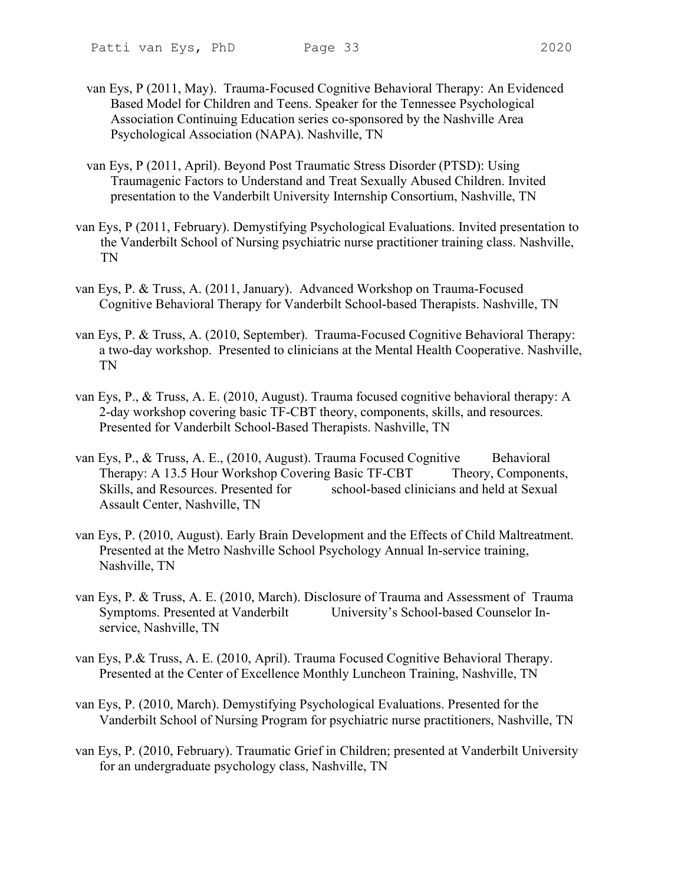- van Eys, P (2011, May). Trauma-Focused Cognitive Behavioral Therapy: An Evidenced Based Model for Children and Teens. Speaker for the Tennessee Psychological Association Continuing Education series co-sponsored by the Nashville Area Psychological Association (NAPA). Nashville, TN
- van Eys, P (2011, April). Beyond Post Traumatic Stress Disorder (PTSD): Using Traumagenic Factors to Understand and Treat Sexually Abused Children. Invited presentation to the Vanderbilt University Internship Consortium, Nashville, TN
- van Eys, P (2011, February). Demystifying Psychological Evaluations. Invited presentation to the Vanderbilt School of Nursing psychiatric nurse practitioner training class. Nashville, TN
- van Eys, P. & Truss, A. (2011, January). Advanced Workshop on Trauma-Focused Cognitive Behavioral Therapy for Vanderbilt School-based Therapists. Nashville, TN
- van Eys, P. & Truss, A. (2010, September). Trauma-Focused Cognitive Behavioral Therapy: a two-day workshop. Presented to clinicians at the Mental Health Cooperative. Nashville, TN
- van Eys, P., & Truss, A. E. (2010, August). Trauma focused cognitive behavioral therapy: A 2-day workshop covering basic TF-CBT theory, components, skills, and resources. Presented for Vanderbilt School-Based Therapists. Nashville, TN
- van Eys, P., & Truss, A. E.,  $(2010,$  August). Trauma Focused Cognitive Behavioral Therapy: A 13.5 Hour Workshop Covering Basic TF-CBT Theory, Components, Skills, and Resources. Presented for school-based clinicians and held at Sexual Assault Center, Nashville, TN
- van Eys, P. (2010, August). Early Brain Development and the Effects of Child Maltreatment. Presented at the Metro Nashville School Psychology Annual In-service training, Nashville, TN
- van Eys, P. & Truss, A. E. (2010, March). Disclosure of Trauma and Assessment of Trauma Symptoms. Presented at Vanderbilt University's School-based Counselor Inservice, Nashville, TN
- van Eys, P.& Truss, A. E. (2010, April). Trauma Focused Cognitive Behavioral Therapy. Presented at the Center of Excellence Monthly Luncheon Training, Nashville, TN
- van Eys, P. (2010, March). Demystifying Psychological Evaluations. Presented for the Vanderbilt School of Nursing Program for psychiatric nurse practitioners, Nashville, TN
- van Eys, P. (2010, February). Traumatic Grief in Children; presented at Vanderbilt University for an undergraduate psychology class, Nashville, TN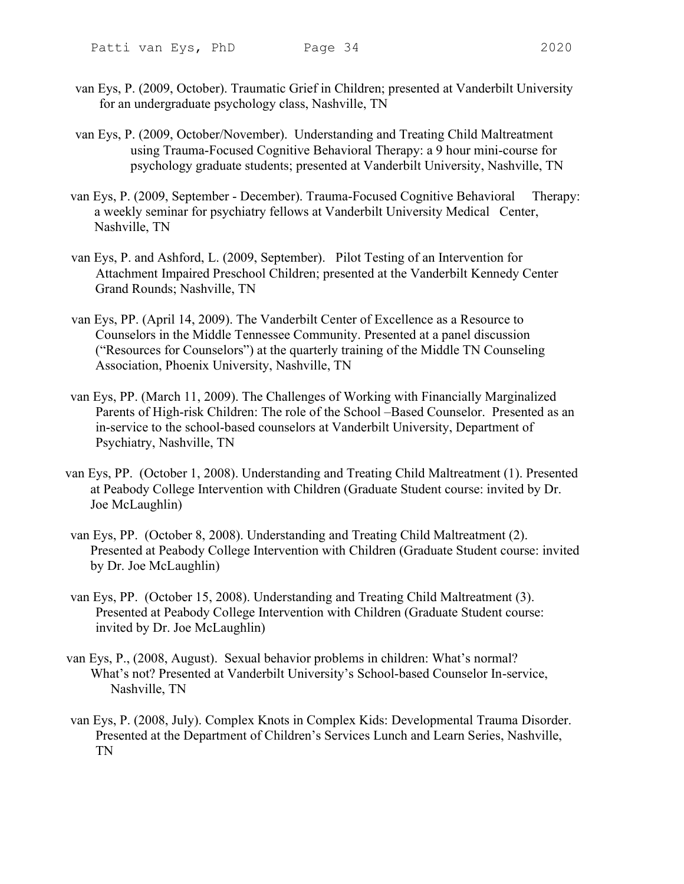- van Eys, P. (2009, October). Traumatic Grief in Children; presented at Vanderbilt University for an undergraduate psychology class, Nashville, TN
- van Eys, P. (2009, October/November). Understanding and Treating Child Maltreatment using Trauma-Focused Cognitive Behavioral Therapy: a 9 hour mini-course for psychology graduate students; presented at Vanderbilt University, Nashville, TN
- van Eys, P. (2009, September December). Trauma-Focused Cognitive Behavioral Therapy: a weekly seminar for psychiatry fellows at Vanderbilt University Medical Center, Nashville, TN
- van Eys, P. and Ashford, L. (2009, September). Pilot Testing of an Intervention for Attachment Impaired Preschool Children; presented at the Vanderbilt Kennedy Center Grand Rounds; Nashville, TN
- van Eys, PP. (April 14, 2009). The Vanderbilt Center of Excellence as a Resource to Counselors in the Middle Tennessee Community. Presented at a panel discussion ("Resources for Counselors") at the quarterly training of the Middle TN Counseling Association, Phoenix University, Nashville, TN
- van Eys, PP. (March 11, 2009). The Challenges of Working with Financially Marginalized Parents of High-risk Children: The role of the School –Based Counselor. Presented as an in-service to the school-based counselors at Vanderbilt University, Department of Psychiatry, Nashville, TN
- van Eys, PP. (October 1, 2008). Understanding and Treating Child Maltreatment (1). Presented at Peabody College Intervention with Children (Graduate Student course: invited by Dr. Joe McLaughlin)
- van Eys, PP. (October 8, 2008). Understanding and Treating Child Maltreatment (2). Presented at Peabody College Intervention with Children (Graduate Student course: invited by Dr. Joe McLaughlin)
- van Eys, PP. (October 15, 2008). Understanding and Treating Child Maltreatment (3). Presented at Peabody College Intervention with Children (Graduate Student course: invited by Dr. Joe McLaughlin)
- van Eys, P., (2008, August). Sexual behavior problems in children: What's normal? What's not? Presented at Vanderbilt University's School-based Counselor In-service, Nashville, TN
- van Eys, P. (2008, July). Complex Knots in Complex Kids: Developmental Trauma Disorder. Presented at the Department of Children's Services Lunch and Learn Series, Nashville, TN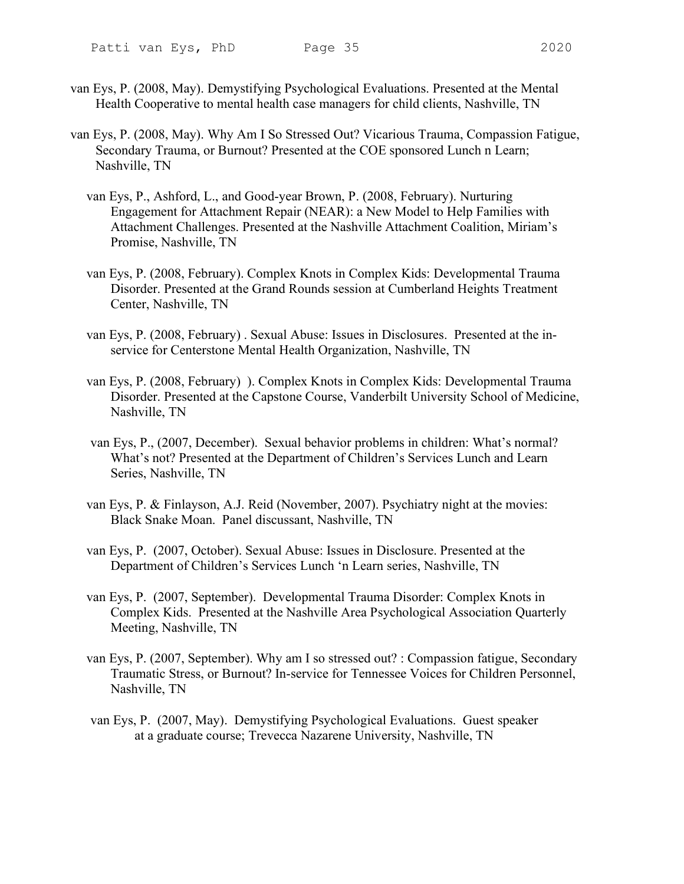- 
- van Eys, P. (2008, May). Demystifying Psychological Evaluations. Presented at the Mental Health Cooperative to mental health case managers for child clients, Nashville, TN
- van Eys, P. (2008, May). Why Am I So Stressed Out? Vicarious Trauma, Compassion Fatigue, Secondary Trauma, or Burnout? Presented at the COE sponsored Lunch n Learn; Nashville, TN
	- van Eys, P., Ashford, L., and Good-year Brown, P. (2008, February). Nurturing Engagement for Attachment Repair (NEAR): a New Model to Help Families with Attachment Challenges. Presented at the Nashville Attachment Coalition, Miriam's Promise, Nashville, TN
	- van Eys, P. (2008, February). Complex Knots in Complex Kids: Developmental Trauma Disorder. Presented at the Grand Rounds session at Cumberland Heights Treatment Center, Nashville, TN
	- van Eys, P. (2008, February) . Sexual Abuse: Issues in Disclosures. Presented at the inservice for Centerstone Mental Health Organization, Nashville, TN
	- van Eys, P. (2008, February) ). Complex Knots in Complex Kids: Developmental Trauma Disorder. Presented at the Capstone Course, Vanderbilt University School of Medicine, Nashville, TN
	- van Eys, P., (2007, December). Sexual behavior problems in children: What's normal? What's not? Presented at the Department of Children's Services Lunch and Learn Series, Nashville, TN
	- van Eys, P. & Finlayson, A.J. Reid (November, 2007). Psychiatry night at the movies: Black Snake Moan. Panel discussant, Nashville, TN
	- van Eys, P. (2007, October). Sexual Abuse: Issues in Disclosure. Presented at the Department of Children's Services Lunch 'n Learn series, Nashville, TN
	- van Eys, P. (2007, September). Developmental Trauma Disorder: Complex Knots in Complex Kids. Presented at the Nashville Area Psychological Association Quarterly Meeting, Nashville, TN
	- van Eys, P. (2007, September). Why am I so stressed out? : Compassion fatigue, Secondary Traumatic Stress, or Burnout? In-service for Tennessee Voices for Children Personnel, Nashville, TN
	- van Eys, P. (2007, May). Demystifying Psychological Evaluations. Guest speaker at a graduate course; Trevecca Nazarene University, Nashville, TN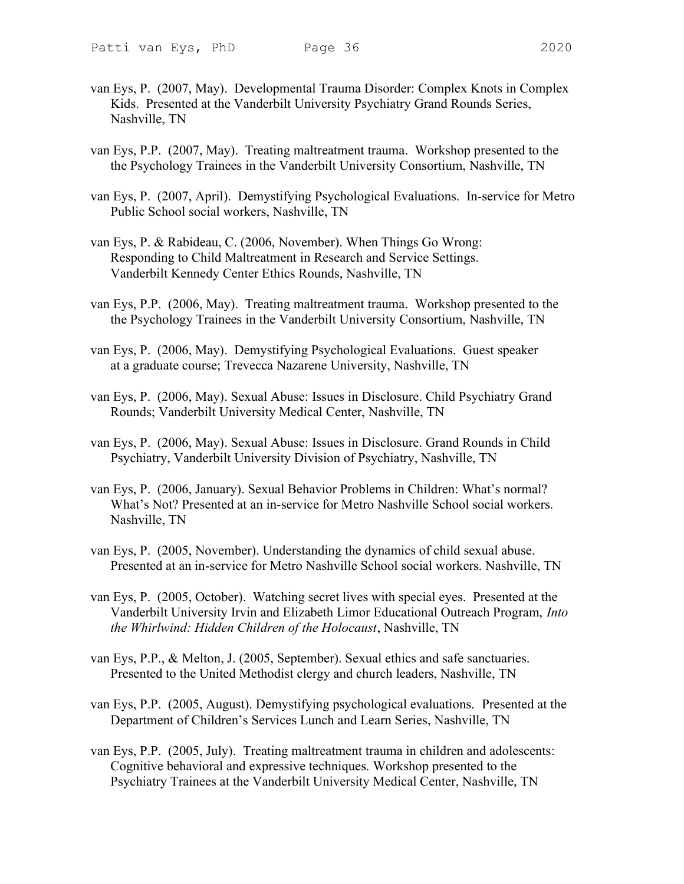- van Eys, P. (2007, May). Developmental Trauma Disorder: Complex Knots in Complex Kids. Presented at the Vanderbilt University Psychiatry Grand Rounds Series, Nashville, TN
- van Eys, P.P. (2007, May). Treating maltreatment trauma. Workshop presented to the the Psychology Trainees in the Vanderbilt University Consortium, Nashville, TN
- van Eys, P. (2007, April). Demystifying Psychological Evaluations. In-service for Metro Public School social workers, Nashville, TN
- van Eys, P. & Rabideau, C. (2006, November). When Things Go Wrong: Responding to Child Maltreatment in Research and Service Settings. Vanderbilt Kennedy Center Ethics Rounds, Nashville, TN
- van Eys, P.P. (2006, May). Treating maltreatment trauma. Workshop presented to the the Psychology Trainees in the Vanderbilt University Consortium, Nashville, TN
- van Eys, P. (2006, May). Demystifying Psychological Evaluations. Guest speaker at a graduate course; Trevecca Nazarene University, Nashville, TN
- van Eys, P. (2006, May). Sexual Abuse: Issues in Disclosure. Child Psychiatry Grand Rounds; Vanderbilt University Medical Center, Nashville, TN
- van Eys, P. (2006, May). Sexual Abuse: Issues in Disclosure. Grand Rounds in Child Psychiatry, Vanderbilt University Division of Psychiatry, Nashville, TN
- van Eys, P. (2006, January). Sexual Behavior Problems in Children: What's normal? What's Not? Presented at an in-service for Metro Nashville School social workers. Nashville, TN
- van Eys, P. (2005, November). Understanding the dynamics of child sexual abuse. Presented at an in-service for Metro Nashville School social workers. Nashville, TN
- van Eys, P. (2005, October). Watching secret lives with special eyes. Presented at the Vanderbilt University Irvin and Elizabeth Limor Educational Outreach Program, Into the Whirlwind: Hidden Children of the Holocaust, Nashville, TN
- van Eys, P.P., & Melton, J. (2005, September). Sexual ethics and safe sanctuaries. Presented to the United Methodist clergy and church leaders, Nashville, TN
- van Eys, P.P. (2005, August). Demystifying psychological evaluations. Presented at the Department of Children's Services Lunch and Learn Series, Nashville, TN
- van Eys, P.P. (2005, July). Treating maltreatment trauma in children and adolescents: Cognitive behavioral and expressive techniques. Workshop presented to the Psychiatry Trainees at the Vanderbilt University Medical Center, Nashville, TN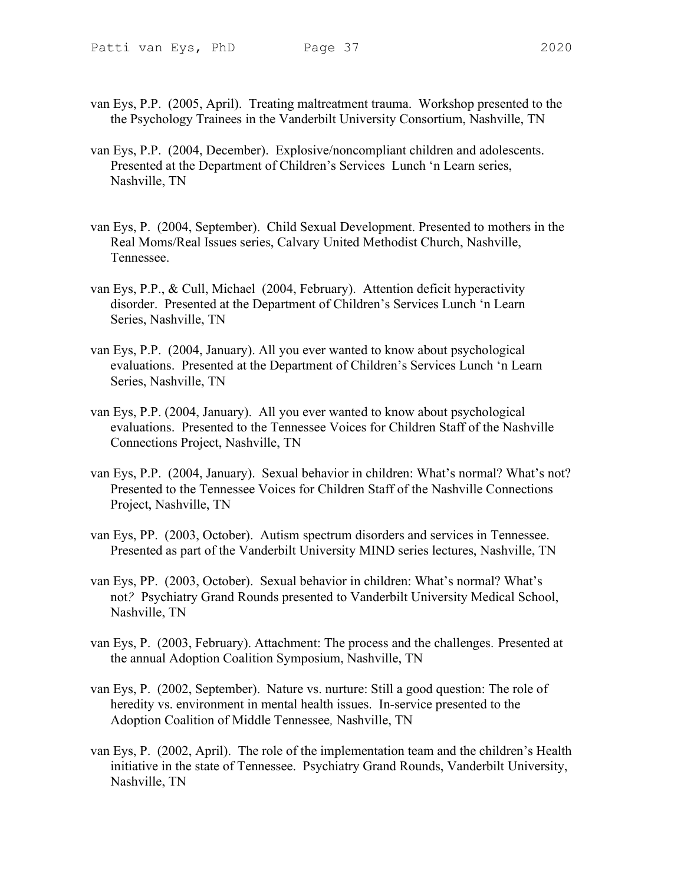- 
- van Eys, P.P. (2005, April). Treating maltreatment trauma. Workshop presented to the the Psychology Trainees in the Vanderbilt University Consortium, Nashville, TN
- van Eys, P.P. (2004, December). Explosive/noncompliant children and adolescents. Presented at the Department of Children's Services Lunch 'n Learn series, Nashville, TN
- van Eys, P. (2004, September). Child Sexual Development. Presented to mothers in the Real Moms/Real Issues series, Calvary United Methodist Church, Nashville, Tennessee.
- van Eys, P.P., & Cull, Michael (2004, February). Attention deficit hyperactivity disorder. Presented at the Department of Children's Services Lunch 'n Learn Series, Nashville, TN
- van Eys, P.P. (2004, January). All you ever wanted to know about psychological evaluations. Presented at the Department of Children's Services Lunch 'n Learn Series, Nashville, TN
- van Eys, P.P. (2004, January). All you ever wanted to know about psychological evaluations. Presented to the Tennessee Voices for Children Staff of the Nashville Connections Project, Nashville, TN
- van Eys, P.P. (2004, January). Sexual behavior in children: What's normal? What's not? Presented to the Tennessee Voices for Children Staff of the Nashville Connections Project, Nashville, TN
- van Eys, PP. (2003, October). Autism spectrum disorders and services in Tennessee. Presented as part of the Vanderbilt University MIND series lectures, Nashville, TN
- van Eys, PP. (2003, October). Sexual behavior in children: What's normal? What's not? Psychiatry Grand Rounds presented to Vanderbilt University Medical School, Nashville, TN
- van Eys, P. (2003, February). Attachment: The process and the challenges. Presented at the annual Adoption Coalition Symposium, Nashville, TN
- van Eys, P. (2002, September). Nature vs. nurture: Still a good question: The role of heredity vs. environment in mental health issues. In-service presented to the Adoption Coalition of Middle Tennessee, Nashville, TN
- van Eys, P. (2002, April). The role of the implementation team and the children's Health initiative in the state of Tennessee. Psychiatry Grand Rounds, Vanderbilt University, Nashville, TN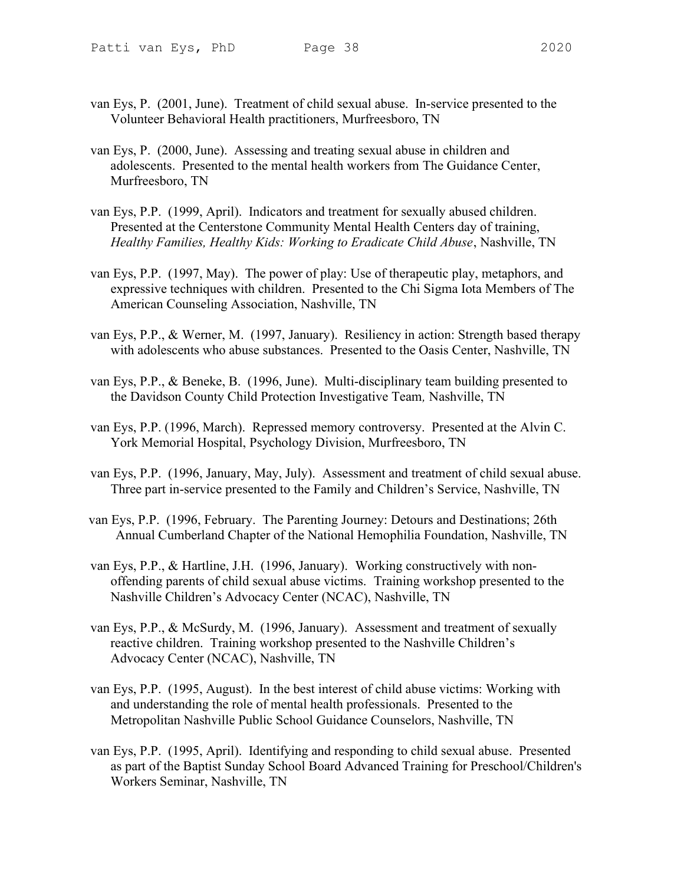- van Eys, P. (2001, June). Treatment of child sexual abuse. In-service presented to the Volunteer Behavioral Health practitioners, Murfreesboro, TN
- van Eys, P. (2000, June). Assessing and treating sexual abuse in children and adolescents. Presented to the mental health workers from The Guidance Center, Murfreesboro, TN
- van Eys, P.P. (1999, April). Indicators and treatment for sexually abused children. Presented at the Centerstone Community Mental Health Centers day of training, Healthy Families, Healthy Kids: Working to Eradicate Child Abuse, Nashville, TN
- van Eys, P.P. (1997, May). The power of play: Use of therapeutic play, metaphors, and expressive techniques with children. Presented to the Chi Sigma Iota Members of The American Counseling Association, Nashville, TN
- van Eys, P.P., & Werner, M. (1997, January). Resiliency in action: Strength based therapy with adolescents who abuse substances. Presented to the Oasis Center, Nashville, TN
- van Eys, P.P., & Beneke, B. (1996, June). Multi-disciplinary team building presented to the Davidson County Child Protection Investigative Team, Nashville, TN
- van Eys, P.P. (1996, March). Repressed memory controversy. Presented at the Alvin C. York Memorial Hospital, Psychology Division, Murfreesboro, TN
- van Eys, P.P. (1996, January, May, July). Assessment and treatment of child sexual abuse. Three part in-service presented to the Family and Children's Service, Nashville, TN
- van Eys, P.P. (1996, February. The Parenting Journey: Detours and Destinations; 26th Annual Cumberland Chapter of the National Hemophilia Foundation, Nashville, TN
- van Eys, P.P., & Hartline, J.H. (1996, January). Working constructively with nonoffending parents of child sexual abuse victims. Training workshop presented to the Nashville Children's Advocacy Center (NCAC), Nashville, TN
- van Eys, P.P., & McSurdy, M. (1996, January). Assessment and treatment of sexually reactive children. Training workshop presented to the Nashville Children's Advocacy Center (NCAC), Nashville, TN
- van Eys, P.P. (1995, August). In the best interest of child abuse victims: Working with and understanding the role of mental health professionals. Presented to the Metropolitan Nashville Public School Guidance Counselors, Nashville, TN
- van Eys, P.P. (1995, April). Identifying and responding to child sexual abuse. Presented as part of the Baptist Sunday School Board Advanced Training for Preschool/Children's Workers Seminar, Nashville, TN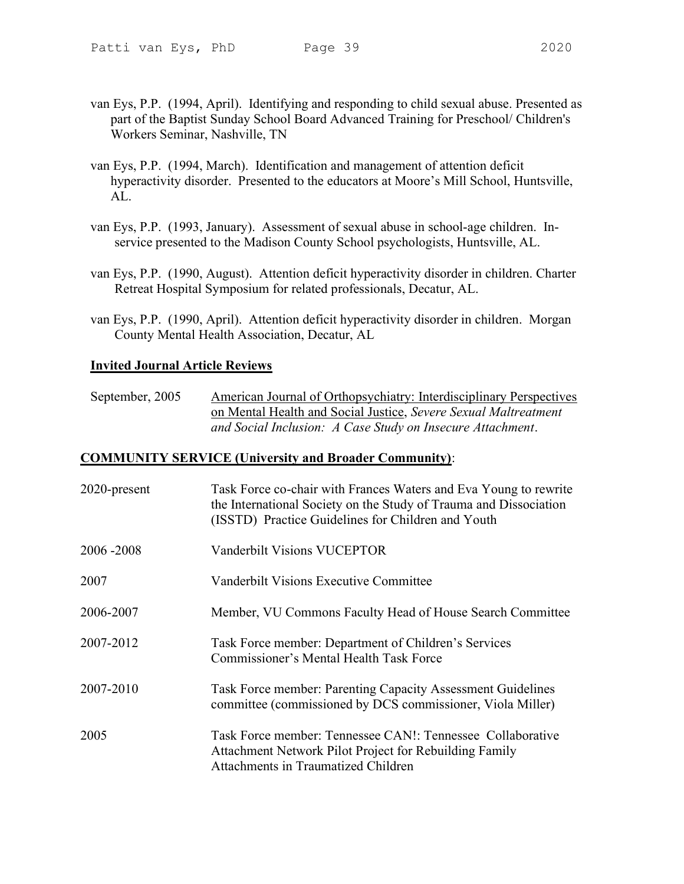- van Eys, P.P. (1994, April). Identifying and responding to child sexual abuse. Presented as part of the Baptist Sunday School Board Advanced Training for Preschool/ Children's Workers Seminar, Nashville, TN
- van Eys, P.P. (1994, March). Identification and management of attention deficit hyperactivity disorder. Presented to the educators at Moore's Mill School, Huntsville, AL.
- van Eys, P.P. (1993, January). Assessment of sexual abuse in school-age children. Inservice presented to the Madison County School psychologists, Huntsville, AL.
- van Eys, P.P. (1990, August). Attention deficit hyperactivity disorder in children. Charter Retreat Hospital Symposium for related professionals, Decatur, AL.
- van Eys, P.P. (1990, April). Attention deficit hyperactivity disorder in children. Morgan County Mental Health Association, Decatur, AL

# Invited Journal Article Reviews

September, 2005 American Journal of Orthopsychiatry: Interdisciplinary Perspectives on Mental Health and Social Justice, Severe Sexual Maltreatment and Social Inclusion: A Case Study on Insecure Attachment.

#### COMMUNITY SERVICE (University and Broader Community):

| 2020-present | Task Force co-chair with Frances Waters and Eva Young to rewrite<br>the International Society on the Study of Trauma and Dissociation<br>(ISSTD) Practice Guidelines for Children and Youth |
|--------------|---------------------------------------------------------------------------------------------------------------------------------------------------------------------------------------------|
| 2006 - 2008  | Vanderbilt Visions VUCEPTOR                                                                                                                                                                 |
| 2007         | Vanderbilt Visions Executive Committee                                                                                                                                                      |
| 2006-2007    | Member, VU Commons Faculty Head of House Search Committee                                                                                                                                   |
| 2007-2012    | Task Force member: Department of Children's Services<br>Commissioner's Mental Health Task Force                                                                                             |
| 2007-2010    | Task Force member: Parenting Capacity Assessment Guidelines<br>committee (commissioned by DCS commissioner, Viola Miller)                                                                   |
| 2005         | Task Force member: Tennessee CAN!: Tennessee Collaborative<br>Attachment Network Pilot Project for Rebuilding Family<br>Attachments in Traumatized Children                                 |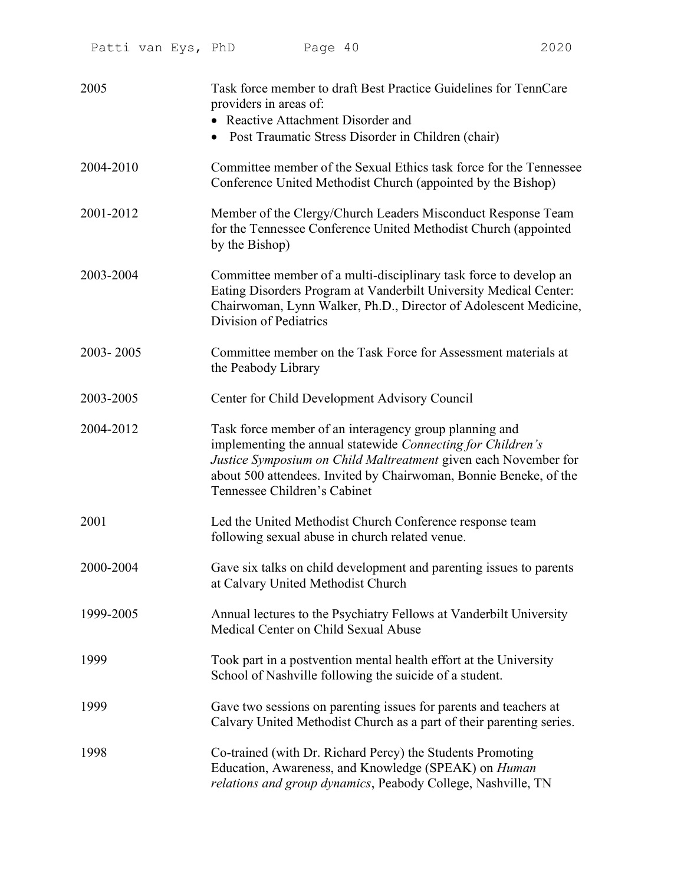| 2005      | Task force member to draft Best Practice Guidelines for TennCare<br>providers in areas of:<br>• Reactive Attachment Disorder and<br>• Post Traumatic Stress Disorder in Children (chair)                                                                                                      |
|-----------|-----------------------------------------------------------------------------------------------------------------------------------------------------------------------------------------------------------------------------------------------------------------------------------------------|
| 2004-2010 | Committee member of the Sexual Ethics task force for the Tennessee<br>Conference United Methodist Church (appointed by the Bishop)                                                                                                                                                            |
| 2001-2012 | Member of the Clergy/Church Leaders Misconduct Response Team<br>for the Tennessee Conference United Methodist Church (appointed<br>by the Bishop)                                                                                                                                             |
| 2003-2004 | Committee member of a multi-disciplinary task force to develop an<br>Eating Disorders Program at Vanderbilt University Medical Center:<br>Chairwoman, Lynn Walker, Ph.D., Director of Adolescent Medicine,<br>Division of Pediatrics                                                          |
| 2003-2005 | Committee member on the Task Force for Assessment materials at<br>the Peabody Library                                                                                                                                                                                                         |
| 2003-2005 | Center for Child Development Advisory Council                                                                                                                                                                                                                                                 |
| 2004-2012 | Task force member of an interagency group planning and<br>implementing the annual statewide Connecting for Children's<br>Justice Symposium on Child Maltreatment given each November for<br>about 500 attendees. Invited by Chairwoman, Bonnie Beneke, of the<br>Tennessee Children's Cabinet |
| 2001      | Led the United Methodist Church Conference response team<br>following sexual abuse in church related venue.                                                                                                                                                                                   |
| 2000-2004 | Gave six talks on child development and parenting issues to parents<br>at Calvary United Methodist Church                                                                                                                                                                                     |
| 1999-2005 | Annual lectures to the Psychiatry Fellows at Vanderbilt University<br>Medical Center on Child Sexual Abuse                                                                                                                                                                                    |
| 1999      | Took part in a postvention mental health effort at the University<br>School of Nashville following the suicide of a student.                                                                                                                                                                  |
| 1999      | Gave two sessions on parenting issues for parents and teachers at<br>Calvary United Methodist Church as a part of their parenting series.                                                                                                                                                     |
| 1998      | Co-trained (with Dr. Richard Percy) the Students Promoting<br>Education, Awareness, and Knowledge (SPEAK) on Human<br>relations and group dynamics, Peabody College, Nashville, TN                                                                                                            |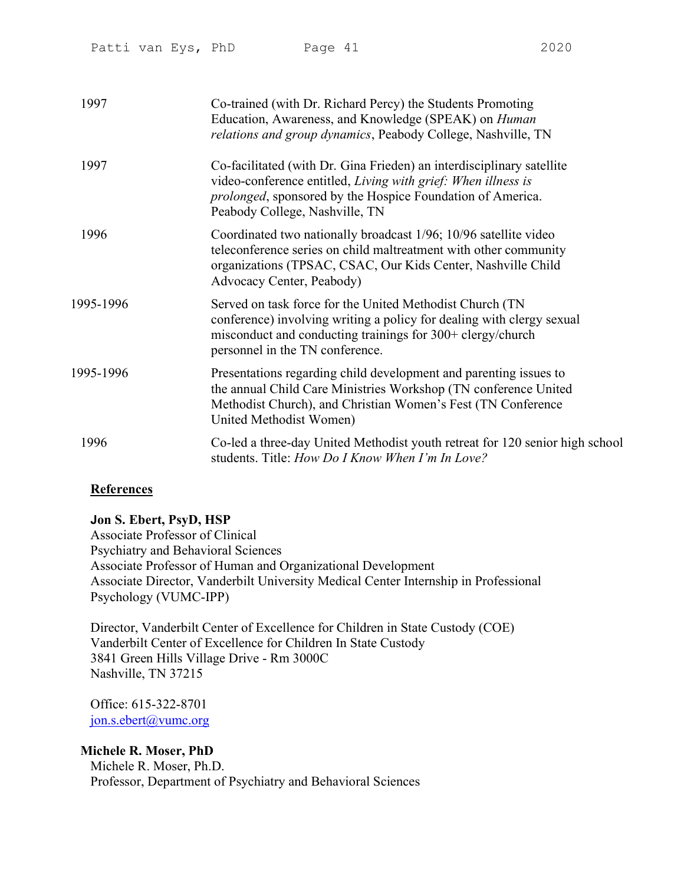| 1997      | Co-trained (with Dr. Richard Percy) the Students Promoting<br>Education, Awareness, and Knowledge (SPEAK) on <i>Human</i><br>relations and group dynamics, Peabody College, Nashville, TN                                                      |
|-----------|------------------------------------------------------------------------------------------------------------------------------------------------------------------------------------------------------------------------------------------------|
| 1997      | Co-facilitated (with Dr. Gina Frieden) an interdisciplinary satellite<br>video-conference entitled, Living with grief: When illness is<br><i>prolonged</i> , sponsored by the Hospice Foundation of America.<br>Peabody College, Nashville, TN |
| 1996      | Coordinated two nationally broadcast 1/96; 10/96 satellite video<br>teleconference series on child maltreatment with other community<br>organizations (TPSAC, CSAC, Our Kids Center, Nashville Child<br>Advocacy Center, Peabody)              |
| 1995-1996 | Served on task force for the United Methodist Church (TN<br>conference) involving writing a policy for dealing with clergy sexual<br>misconduct and conducting trainings for 300+ clergy/church<br>personnel in the TN conference.             |
| 1995-1996 | Presentations regarding child development and parenting issues to<br>the annual Child Care Ministries Workshop (TN conference United<br>Methodist Church), and Christian Women's Fest (TN Conference<br>United Methodist Women)                |
| 1996      | Co-led a three-day United Methodist youth retreat for 120 senior high school<br>students. Title: How Do I Know When I'm In Love?                                                                                                               |

# **References**

# Jon S. Ebert, PsyD, HSP

Associate Professor of Clinical Psychiatry and Behavioral Sciences Associate Professor of Human and Organizational Development Associate Director, Vanderbilt University Medical Center Internship in Professional Psychology (VUMC-IPP)

Director, Vanderbilt Center of Excellence for Children in State Custody (COE) Vanderbilt Center of Excellence for Children In State Custody 3841 Green Hills Village Drive - Rm 3000C Nashville, TN 37215

Office: 615-322-8701 jon.s.ebert@vumc.org

# Michele R. Moser, PhD

Michele R. Moser, Ph.D. Professor, Department of Psychiatry and Behavioral Sciences